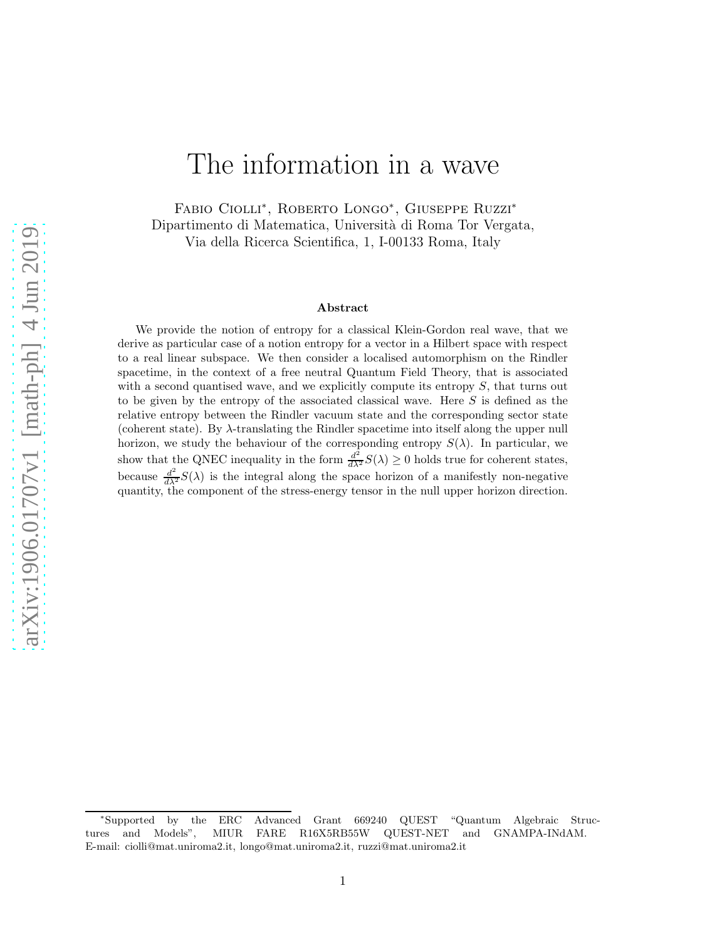# The information in a wave

Fabio Ciolli<sup>∗</sup> , Roberto Longo<sup>∗</sup> , Giuseppe Ruzzi<sup>∗</sup> Dipartimento di Matematica, Università di Roma Tor Vergata, Via della Ricerca Scientifica, 1, I-00133 Roma, Italy

#### Abstract

We provide the notion of entropy for a classical Klein-Gordon real wave, that we derive as particular case of a notion entropy for a vector in a Hilbert space with respect to a real linear subspace. We then consider a localised automorphism on the Rindler spacetime, in the context of a free neutral Quantum Field Theory, that is associated with a second quantised wave, and we explicitly compute its entropy  $S$ , that turns out to be given by the entropy of the associated classical wave. Here S is defined as the relative entropy between the Rindler vacuum state and the corresponding sector state (coherent state). By  $\lambda$ -translating the Rindler spacetime into itself along the upper null horizon, we study the behaviour of the corresponding entropy  $S(\lambda)$ . In particular, we show that the QNEC inequality in the form  $\frac{d^2}{d\lambda^2}S(\lambda) \geq 0$  holds true for coherent states, because  $\frac{d^2}{dx^2}S(\lambda)$  is the integral along the space horizon of a manifestly non-negative quantity, the component of the stress-energy tensor in the null upper horizon direction.

<sup>∗</sup>Supported by the ERC Advanced Grant 669240 QUEST "Quantum Algebraic Structures and Models", MIUR FARE R16X5RB55W QUEST-NET and GNAMPA-INdAM. E-mail: ciolli@mat.uniroma2.it, longo@mat.uniroma2.it, ruzzi@mat.uniroma2.it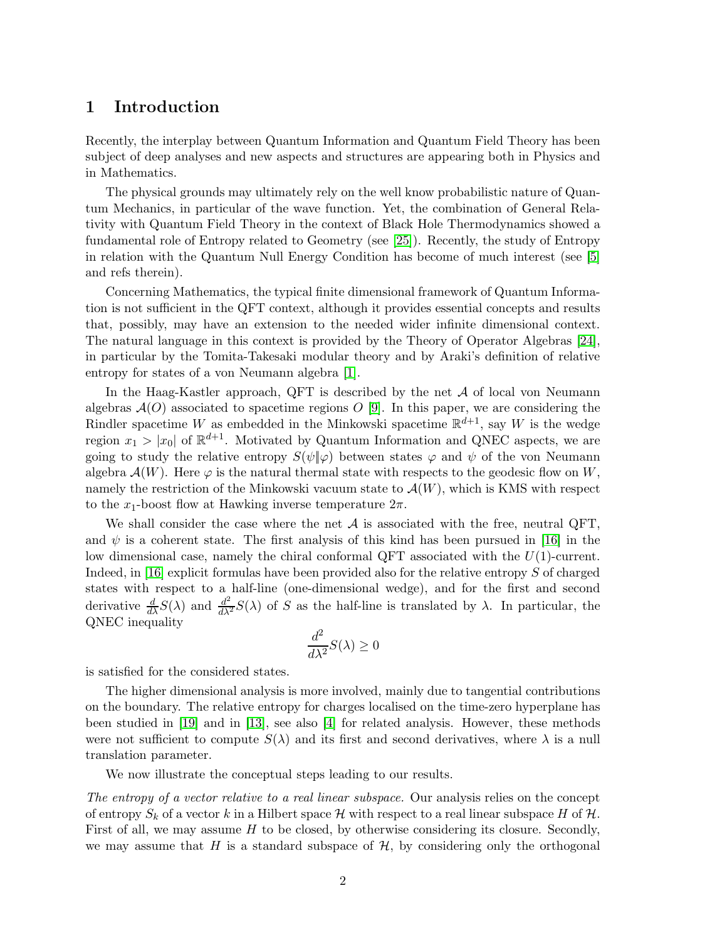# 1 Introduction

Recently, the interplay between Quantum Information and Quantum Field Theory has been subject of deep analyses and new aspects and structures are appearing both in Physics and in Mathematics.

The physical grounds may ultimately rely on the well know probabilistic nature of Quantum Mechanics, in particular of the wave function. Yet, the combination of General Relativity with Quantum Field Theory in the context of Black Hole Thermodynamics showed a fundamental role of Entropy related to Geometry (see [\[25\]](#page-22-0)). Recently, the study of Entropy in relation with the Quantum Null Energy Condition has become of much interest (see [\[5\]](#page-21-0) and refs therein).

Concerning Mathematics, the typical finite dimensional framework of Quantum Information is not sufficient in the QFT context, although it provides essential concepts and results that, possibly, may have an extension to the needed wider infinite dimensional context. The natural language in this context is provided by the Theory of Operator Algebras [\[24\]](#page-22-1), in particular by the Tomita-Takesaki modular theory and by Araki's definition of relative entropy for states of a von Neumann algebra [\[1\]](#page-21-1).

In the Haag-Kastler approach, QFT is described by the net  $A$  of local von Neumann algebras  $A(O)$  associated to spacetime regions O [\[9\]](#page-22-2). In this paper, we are considering the Rindler spacetime W as embedded in the Minkowski spacetime  $\mathbb{R}^{d+1}$ , say W is the wedge region  $x_1 > |x_0|$  of  $\mathbb{R}^{d+1}$ . Motivated by Quantum Information and QNEC aspects, we are going to study the relative entropy  $S(\psi|\varphi)$  between states  $\varphi$  and  $\psi$  of the von Neumann algebra  $\mathcal{A}(W)$ . Here  $\varphi$  is the natural thermal state with respects to the geodesic flow on W, namely the restriction of the Minkowski vacuum state to  $\mathcal{A}(W)$ , which is KMS with respect to the  $x_1$ -boost flow at Hawking inverse temperature  $2\pi$ .

We shall consider the case where the net  $A$  is associated with the free, neutral QFT, and  $\psi$  is a coherent state. The first analysis of this kind has been pursued in [\[16\]](#page-22-3) in the low dimensional case, namely the chiral conformal  $QFT$  associated with the  $U(1)$ -current. Indeed, in [\[16\]](#page-22-3) explicit formulas have been provided also for the relative entropy S of charged states with respect to a half-line (one-dimensional wedge), and for the first and second derivative  $\frac{d}{d\lambda}S(\lambda)$  and  $\frac{d^2}{d\lambda^2}S(\lambda)$  of S as the half-line is translated by  $\lambda$ . In particular, the QNEC inequality

$$
\frac{d^2}{d\lambda^2}S(\lambda) \ge 0
$$

is satisfied for the considered states.

The higher dimensional analysis is more involved, mainly due to tangential contributions on the boundary. The relative entropy for charges localised on the time-zero hyperplane has been studied in [\[19\]](#page-22-4) and in [\[13\]](#page-22-5), see also [\[4\]](#page-21-2) for related analysis. However, these methods were not sufficient to compute  $S(\lambda)$  and its first and second derivatives, where  $\lambda$  is a null translation parameter.

We now illustrate the conceptual steps leading to our results.

The entropy of a vector relative to a real linear subspace. Our analysis relies on the concept of entropy  $S_k$  of a vector k in a Hilbert space H with respect to a real linear subspace H of H. First of all, we may assume  $H$  to be closed, by otherwise considering its closure. Secondly, we may assume that H is a standard subspace of  $H$ , by considering only the orthogonal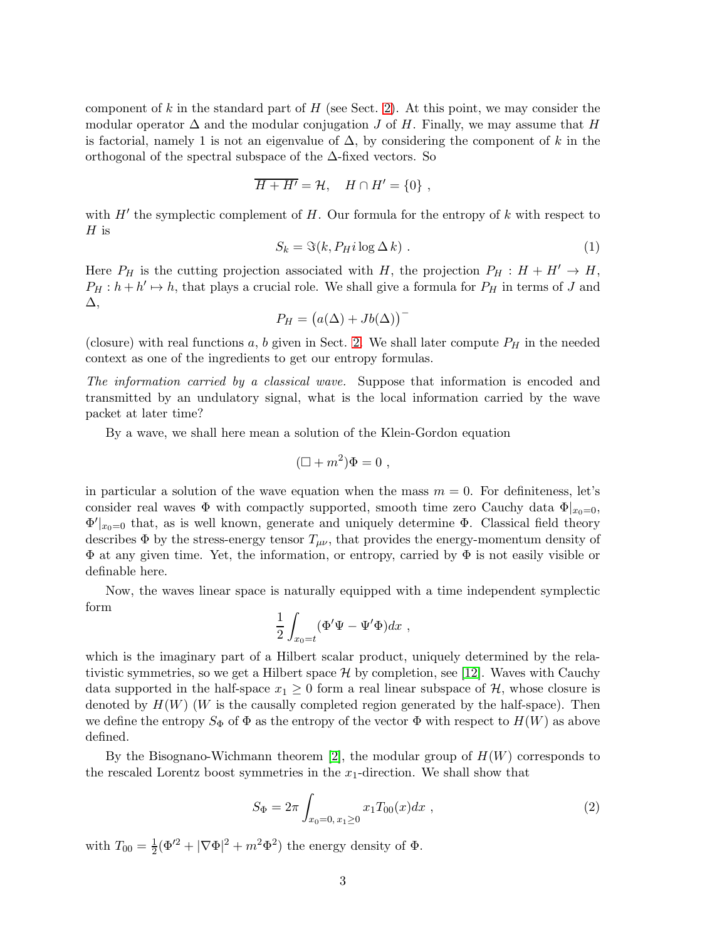component of k in the standard part of  $H$  (see Sect. [2\)](#page-4-0). At this point, we may consider the modular operator  $\Delta$  and the modular conjugation J of H. Finally, we may assume that H is factorial, namely 1 is not an eigenvalue of  $\Delta$ , by considering the component of k in the orthogonal of the spectral subspace of the  $\Delta$ -fixed vectors. So

$$
\overline{H + H'} = \mathcal{H}, \quad H \cap H' = \{0\} ,
$$

<span id="page-2-1"></span>with  $H'$  the symplectic complement of  $H$ . Our formula for the entropy of  $k$  with respect to  $H$  is

$$
S_k = \Im(k, P_H i \log \Delta k) \tag{1}
$$

Here  $P_H$  is the cutting projection associated with H, the projection  $P_H : H + H' \rightarrow H$ ,  $P_H: h + h' \mapsto h$ , that plays a crucial role. We shall give a formula for  $P_H$  in terms of J and ∆,

$$
P_H = (a(\Delta) + Jb(\Delta))
$$

(closure) with real functions a, b given in Sect. [2.](#page-4-0) We shall later compute  $P_H$  in the needed context as one of the ingredients to get our entropy formulas.

The information carried by a classical wave. Suppose that information is encoded and transmitted by an undulatory signal, what is the local information carried by the wave packet at later time?

By a wave, we shall here mean a solution of the Klein-Gordon equation

$$
(\Box + m^2)\Phi = 0 ,
$$

in particular a solution of the wave equation when the mass  $m = 0$ . For definiteness, let's consider real waves  $\Phi$  with compactly supported, smooth time zero Cauchy data  $\Phi|_{x_0=0}$ ,  $\Phi'|_{x_0=0}$  that, as is well known, generate and uniquely determine  $\Phi$ . Classical field theory describes  $\Phi$  by the stress-energy tensor  $T_{\mu\nu}$ , that provides the energy-momentum density of  $\Phi$  at any given time. Yet, the information, or entropy, carried by  $\Phi$  is not easily visible or definable here.

Now, the waves linear space is naturally equipped with a time independent symplectic form

$$
\frac{1}{2} \int_{x_0=t} (\Phi' \Psi - \Psi' \Phi) dx ,
$$

which is the imaginary part of a Hilbert scalar product, uniquely determined by the relativistic symmetries, so we get a Hilbert space  $\mathcal H$  by completion, see [\[12\]](#page-22-6). Waves with Cauchy data supported in the half-space  $x_1 \geq 0$  form a real linear subspace of  $\mathcal{H}$ , whose closure is denoted by  $H(W)$  (W is the causally completed region generated by the half-space). Then we define the entropy  $S_{\Phi}$  of  $\Phi$  as the entropy of the vector  $\Phi$  with respect to  $H(W)$  as above defined.

By the Bisognano-Wichmann theorem [\[2\]](#page-21-3), the modular group of  $H(W)$  corresponds to the rescaled Lorentz boost symmetries in the  $x_1$ -direction. We shall show that

<span id="page-2-0"></span>
$$
S_{\Phi} = 2\pi \int_{x_0 = 0, x_1 \ge 0} x_1 T_{00}(x) dx , \qquad (2)
$$

with  $T_{00} = \frac{1}{2}(\Phi^2 + |\nabla \Phi|^2 + m^2 \Phi^2)$  the energy density of  $\Phi$ .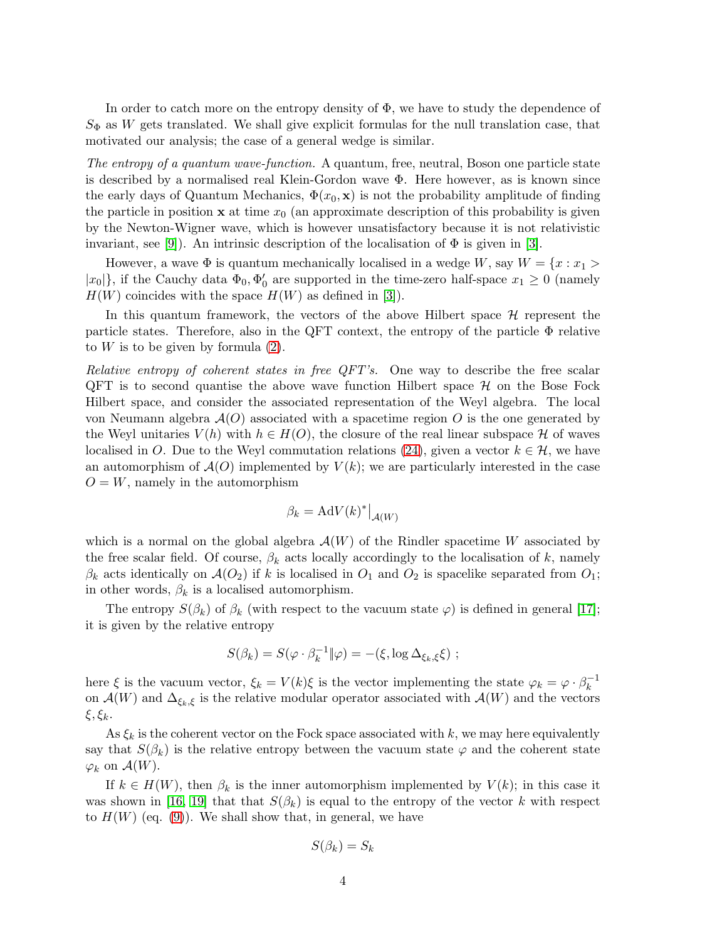In order to catch more on the entropy density of  $\Phi$ , we have to study the dependence of  $S_{\Phi}$  as W gets translated. We shall give explicit formulas for the null translation case, that motivated our analysis; the case of a general wedge is similar.

The entropy of a quantum wave-function. A quantum, free, neutral, Boson one particle state is described by a normalised real Klein-Gordon wave  $\Phi$ . Here however, as is known since the early days of Quantum Mechanics,  $\Phi(x_0, \mathbf{x})$  is not the probability amplitude of finding the particle in position  $x$  at time  $x_0$  (an approximate description of this probability is given by the Newton-Wigner wave, which is however unsatisfactory because it is not relativistic invariant, see [\[9\]](#page-22-2)). An intrinsic description of the localisation of  $\Phi$  is given in [\[3\]](#page-21-4).

However, a wave  $\Phi$  is quantum mechanically localised in a wedge W, say  $W = \{x : x_1 >$  $|x_0|$ , if the Cauchy data  $\Phi_0$ ,  $\Phi'_0$  are supported in the time-zero half-space  $x_1 \geq 0$  (namely  $H(W)$  coincides with the space  $H(W)$  as defined in [\[3\]](#page-21-4)).

In this quantum framework, the vectors of the above Hilbert space  $\mathcal{H}$  represent the particle states. Therefore, also in the QFT context, the entropy of the particle Φ relative to  $W$  is to be given by formula  $(2)$ .

Relative entropy of coherent states in free QFT's. One way to describe the free scalar  $QFT$  is to second quantise the above wave function Hilbert space  $H$  on the Bose Fock Hilbert space, and consider the associated representation of the Weyl algebra. The local von Neumann algebra  $\mathcal{A}(O)$  associated with a spacetime region O is the one generated by the Weyl unitaries  $V(h)$  with  $h \in H(O)$ , the closure of the real linear subspace H of waves localised in O. Due to the Weyl commutation relations [\(24\)](#page-17-0), given a vector  $k \in \mathcal{H}$ , we have an automorphism of  $\mathcal{A}(O)$  implemented by  $V(k)$ ; we are particularly interested in the case  $O = W$ , namely in the automorphism

$$
\beta_k = \mathrm{Ad}V(k)^* \big|_{\mathcal{A}(W)}
$$

which is a normal on the global algebra  $\mathcal{A}(W)$  of the Rindler spacetime W associated by the free scalar field. Of course,  $\beta_k$  acts locally accordingly to the localisation of k, namely  $\beta_k$  acts identically on  $\mathcal{A}(O_2)$  if k is localised in  $O_1$  and  $O_2$  is spacelike separated from  $O_1$ ; in other words,  $\beta_k$  is a localised automorphism.

The entropy  $S(\beta_k)$  of  $\beta_k$  (with respect to the vacuum state  $\varphi$ ) is defined in general [\[17\]](#page-22-7); it is given by the relative entropy

$$
S(\beta_k) = S(\varphi \cdot \beta_k^{-1} \| \varphi) = -(\xi, \log \Delta_{\xi_k, \xi} \xi) ;
$$

here  $\xi$  is the vacuum vector,  $\xi_k = V(k)\xi$  is the vector implementing the state  $\varphi_k = \varphi \cdot \beta_k^{-1}$ k on  $\mathcal{A}(W)$  and  $\Delta_{\xi_k,\xi}$  is the relative modular operator associated with  $\mathcal{A}(W)$  and the vectors ξ,  $ξ_k$ .

As  $\xi_k$  is the coherent vector on the Fock space associated with k, we may here equivalently say that  $S(\beta_k)$  is the relative entropy between the vacuum state  $\varphi$  and the coherent state  $\varphi_k$  on  $\mathcal{A}(W)$ .

If  $k \in H(W)$ , then  $\beta_k$  is the inner automorphism implemented by  $V(k)$ ; in this case it was shown in [\[16,](#page-22-3) [19\]](#page-22-4) that that  $S(\beta_k)$  is equal to the entropy of the vector k with respect to  $H(W)$  (eq. [\(9\)](#page-7-0)). We shall show that, in general, we have

$$
S(\beta_k) = S_k
$$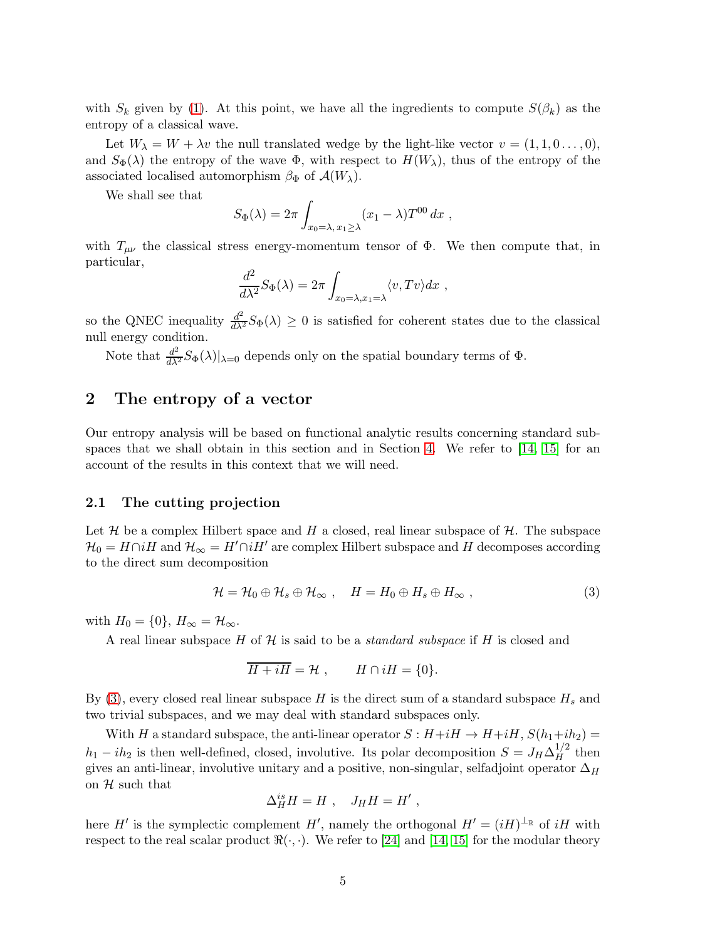with  $S_k$  given by [\(1\)](#page-2-1). At this point, we have all the ingredients to compute  $S(\beta_k)$  as the entropy of a classical wave.

Let  $W_{\lambda} = W + \lambda v$  the null translated wedge by the light-like vector  $v = (1, 1, 0, \ldots, 0),$ and  $S_{\Phi}(\lambda)$  the entropy of the wave  $\Phi$ , with respect to  $H(W_{\lambda})$ , thus of the entropy of the associated localised automorphism  $\beta_{\Phi}$  of  $\mathcal{A}(W_{\lambda})$ .

We shall see that

$$
S_{\Phi}(\lambda) = 2\pi \int_{x_0 = \lambda, x_1 \ge \lambda} (x_1 - \lambda) T^{00} dx ,
$$

with  $T_{\mu\nu}$  the classical stress energy-momentum tensor of  $\Phi$ . We then compute that, in particular,

$$
\frac{d^2}{d\lambda^2} S_{\Phi}(\lambda) = 2\pi \int_{x_0 = \lambda, x_1 = \lambda} \langle v, Tv \rangle dx ,
$$

so the QNEC inequality  $\frac{d^2}{d\lambda^2}S_{\Phi}(\lambda) \geq 0$  is satisfied for coherent states due to the classical null energy condition.

Note that  $\frac{d^2}{d\lambda^2}S_{\Phi}(\lambda)|_{\lambda=0}$  depends only on the spatial boundary terms of  $\Phi$ .

## <span id="page-4-0"></span>2 The entropy of a vector

Our entropy analysis will be based on functional analytic results concerning standard sub-spaces that we shall obtain in this section and in Section [4.](#page-15-0) We refer to  $[14, 15]$  $[14, 15]$  for an account of the results in this context that we will need.

### 2.1 The cutting projection

Let  $\mathcal H$  be a complex Hilbert space and H a closed, real linear subspace of  $\mathcal H$ . The subspace  $\mathcal{H}_0 = H \cap iH$  and  $\mathcal{H}_{\infty} = H' \cap iH'$  are complex Hilbert subspace and H decomposes according to the direct sum decomposition

<span id="page-4-1"></span>
$$
\mathcal{H} = \mathcal{H}_0 \oplus \mathcal{H}_s \oplus \mathcal{H}_\infty \;, \quad H = H_0 \oplus H_s \oplus H_\infty \;, \tag{3}
$$

with  $H_0 = \{0\}, H_\infty = \mathcal{H}_\infty$ .

A real linear subspace  $H$  of  $H$  is said to be a *standard subspace* if  $H$  is closed and

$$
\overline{H+iH}=\mathcal{H}, \qquad H\cap iH=\{0\}.
$$

By  $(3)$ , every closed real linear subspace H is the direct sum of a standard subspace  $H_s$  and two trivial subspaces, and we may deal with standard subspaces only.

With H a standard subspace, the anti-linear operator  $S : H+iH \to H+iH$ ,  $S(h_1+ih_2) =$  $h_1 - ih_2$  is then well-defined, closed, involutive. Its polar decomposition  $S = J_H \Delta_H^{1/2}$  $H^{\frac{1}{2}}$  then gives an anti-linear, involutive unitary and a positive, non-singular, selfadjoint operator  $\Delta_H$ on  $H$  such that

$$
\Delta_H^{is} H = H \ , \quad J_H H = H' \ ,
$$

here H' is the symplectic complement H', namely the orthogonal  $H' = (iH)^{\perp_{\mathbb{R}}}$  of  $iH$  with respect to the real scalar product  $\Re(\cdot, \cdot)$ . We refer to [\[24\]](#page-22-1) and [\[14,](#page-22-8) [15\]](#page-22-9) for the modular theory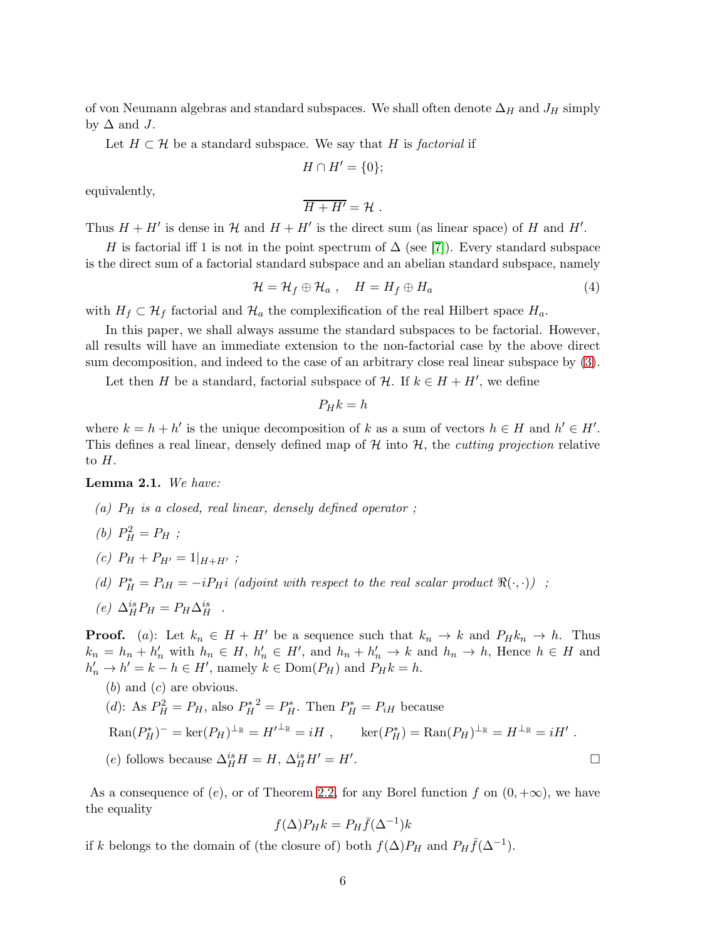of von Neumann algebras and standard subspaces. We shall often denote  $\Delta_H$  and  $J_H$  simply by  $\Delta$  and J.

Let  $H \subset \mathcal{H}$  be a standard subspace. We say that H is factorial if

$$
H\cap H'=\{0\};
$$

equivalently,

<span id="page-5-1"></span>
$$
\overline{H+H'}=\mathcal{H}.
$$

Thus  $H + H'$  is dense in  $H$  and  $H + H'$  is the direct sum (as linear space) of H and H'.

H is factorial iff 1 is not in the point spectrum of  $\Delta$  (see [\[7\]](#page-21-5)). Every standard subspace is the direct sum of a factorial standard subspace and an abelian standard subspace, namely

$$
\mathcal{H} = \mathcal{H}_f \oplus \mathcal{H}_a , \quad H = H_f \oplus H_a \tag{4}
$$

with  $H_f \subset \mathcal{H}_f$  factorial and  $\mathcal{H}_a$  the complexification of the real Hilbert space  $H_a$ .

In this paper, we shall always assume the standard subspaces to be factorial. However, all results will have an immediate extension to the non-factorial case by the above direct sum decomposition, and indeed to the case of an arbitrary close real linear subspace by [\(3\)](#page-4-1).

Let then H be a standard, factorial subspace of  $\mathcal{H}$ . If  $k \in H + H'$ , we define

$$
P_H k = h
$$

where  $k = h + h'$  is the unique decomposition of k as a sum of vectors  $h \in H$  and  $h' \in H'$ . This defines a real linear, densely defined map of  $H$  into  $H$ , the *cutting projection* relative to  $H$ .

<span id="page-5-0"></span>Lemma 2.1. We have:

- (a)  $P_H$  is a closed, real linear, densely defined operator;
- (*b*)  $P_H^2 = P_H$ ;
- (c)  $P_H + P_{H'} = 1|_{H+H'}$ ;
- (d)  $P_H^* = P_{iH} = -iP_H i$  (adjoint with respect to the real scalar product  $\Re(\cdot, \cdot)$ ) ;
- (e)  $\Delta_H^{is} P_H = P_H \Delta_H^{is}$ .

**Proof.** (a): Let  $k_n \in H + H'$  be a sequence such that  $k_n \to k$  and  $P_H k_n \to h$ . Thus  $k_n = h_n + h'_n$  with  $h_n \in H$ ,  $h'_n \in H'$ , and  $h_n + h'_n \to k$  and  $h_n \to h$ , Hence  $h \in H$  and  $h'_n \to h' = k - h \in H'$ , namely  $k \in \text{Dom}(P_H)$  and  $P_H k = h$ .

(b) and (c) are obvious.

\n- (d): As 
$$
P_H^2 = P_H
$$
, also  $P_H^{*^2} = P_H^*$ . Then  $P_H^* = P_{iH}$  because  $\text{Ran}(P_H^*)^- = \text{ker}(P_H)^{\perp_{\mathbb{R}}} = H'^{\perp_{\mathbb{R}}} = iH$ ,  $\text{ker}(P_H^*) = \text{Ran}(P_H)^{\perp_{\mathbb{R}}} = H^{\perp_{\mathbb{R}}} = iH'$ .
\n- (e) follows because  $\Delta_H^{is} H = H$ ,  $\Delta_H^{is} H' = H'$ .
\n

As a consequence of (e), or of Theorem [2.2,](#page-6-0) for any Borel function f on  $(0, +\infty)$ , we have the equality

$$
f(\Delta)P_Hk = P_H\bar{f}(\Delta^{-1})k
$$

if k belongs to the domain of (the closure of) both  $f(\Delta)P_H$  and  $P_H\bar{f}(\Delta^{-1})$ .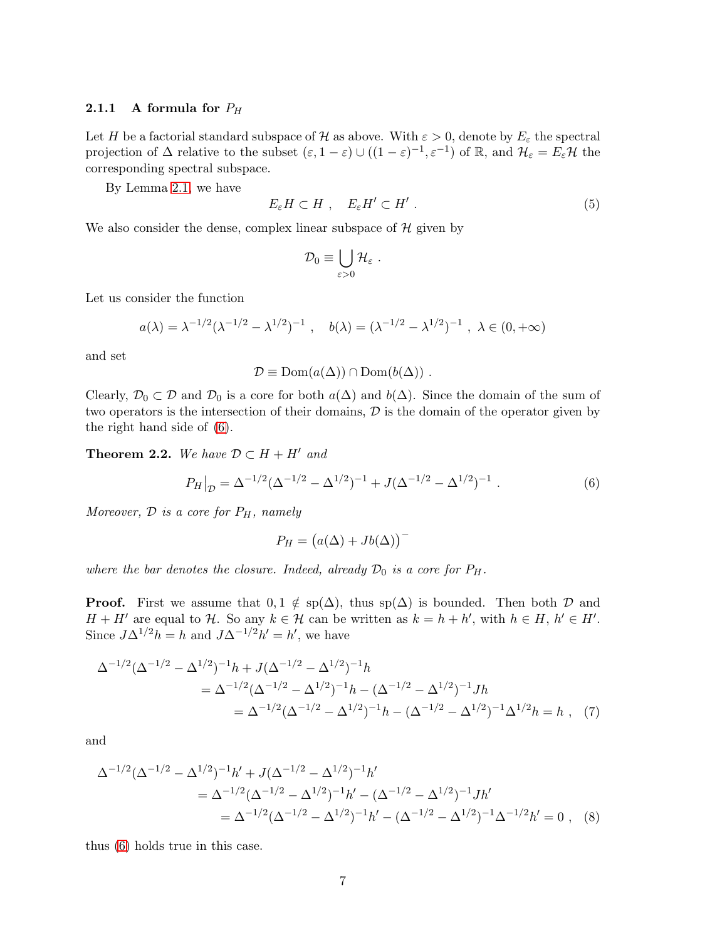#### **2.1.1** A formula for  $P_H$

Let H be a factorial standard subspace of H as above. With  $\varepsilon > 0$ , denote by  $E_{\varepsilon}$  the spectral projection of  $\Delta$  relative to the subset  $(\varepsilon, 1-\varepsilon) \cup ((1-\varepsilon)^{-1}, \varepsilon^{-1})$  of  $\mathbb{R}$ , and  $\mathcal{H}_{\varepsilon} = E_{\varepsilon} \mathcal{H}$  the corresponding spectral subspace.

By Lemma [2.1,](#page-5-0) we have

<span id="page-6-2"></span>
$$
E_{\varepsilon}H\subset H\ ,\quad E_{\varepsilon}H'\subset H'\ .\tag{5}
$$

We also consider the dense, complex linear subspace of  $H$  given by

$$
\mathcal{D}_0 \equiv \bigcup_{\varepsilon > 0} \mathcal{H}_\varepsilon \ .
$$

Let us consider the function

$$
a(\lambda) = \lambda^{-1/2} (\lambda^{-1/2} - \lambda^{1/2})^{-1}
$$
,  $b(\lambda) = (\lambda^{-1/2} - \lambda^{1/2})^{-1}$ ,  $\lambda \in (0, +\infty)$ 

and set

$$
\mathcal{D} \equiv \text{Dom}(a(\Delta)) \cap \text{Dom}(b(\Delta)) \ .
$$

Clearly,  $\mathcal{D}_0 \subset \mathcal{D}$  and  $\mathcal{D}_0$  is a core for both  $a(\Delta)$  and  $b(\Delta)$ . Since the domain of the sum of two operators is the intersection of their domains, D is the domain of the operator given by the right hand side of [\(6\)](#page-6-1).

<span id="page-6-0"></span>**Theorem 2.2.** We have  $\mathcal{D} \subset H + H'$  and

$$
P_H|_{\mathcal{D}} = \Delta^{-1/2} (\Delta^{-1/2} - \Delta^{1/2})^{-1} + J(\Delta^{-1/2} - \Delta^{1/2})^{-1} . \tag{6}
$$

Moreover,  $\mathcal{D}$  is a core for  $P_H$ , namely

<span id="page-6-1"></span>
$$
P_H = (a(\Delta) + Jb(\Delta))
$$

where the bar denotes the closure. Indeed, already  $\mathcal{D}_0$  is a core for  $P_H$ .

**Proof.** First we assume that  $0, 1 \notin sp(\Delta)$ , thus  $sp(\Delta)$  is bounded. Then both D and  $H + H'$  are equal to  $H$ . So any  $k \in H$  can be written as  $k = h + h'$ , with  $h \in H$ ,  $h' \in H'$ . Since  $J\Delta^{1/2}h = h$  and  $J\Delta^{-1/2}h' = h'$ , we have

$$
\Delta^{-1/2} (\Delta^{-1/2} - \Delta^{1/2})^{-1} h + J(\Delta^{-1/2} - \Delta^{1/2})^{-1} h
$$
  
= 
$$
\Delta^{-1/2} (\Delta^{-1/2} - \Delta^{1/2})^{-1} h - (\Delta^{-1/2} - \Delta^{1/2})^{-1} J h
$$
  
= 
$$
\Delta^{-1/2} (\Delta^{-1/2} - \Delta^{1/2})^{-1} h - (\Delta^{-1/2} - \Delta^{1/2})^{-1} \Delta^{1/2} h = h , (7)
$$

and

$$
\Delta^{-1/2} (\Delta^{-1/2} - \Delta^{1/2})^{-1} h' + J(\Delta^{-1/2} - \Delta^{1/2})^{-1} h'
$$
  
= 
$$
\Delta^{-1/2} (\Delta^{-1/2} - \Delta^{1/2})^{-1} h' - (\Delta^{-1/2} - \Delta^{1/2})^{-1} J h'
$$
  
= 
$$
\Delta^{-1/2} (\Delta^{-1/2} - \Delta^{1/2})^{-1} h' - (\Delta^{-1/2} - \Delta^{1/2})^{-1} \Delta^{-1/2} h' = 0 , \quad (8)
$$

thus [\(6\)](#page-6-1) holds true in this case.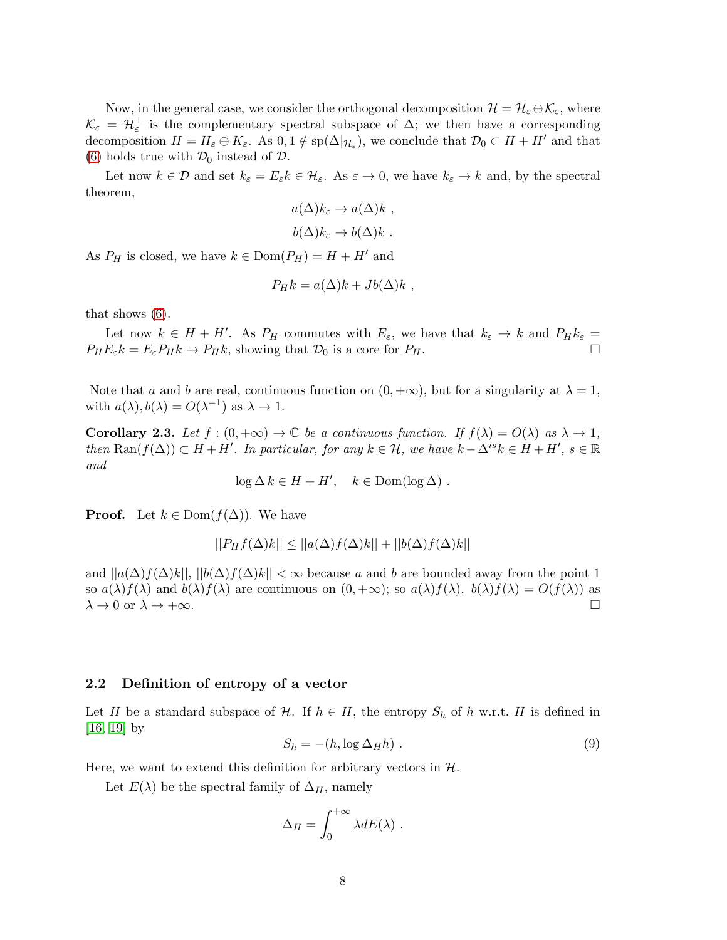Now, in the general case, we consider the orthogonal decomposition  $\mathcal{H} = \mathcal{H}_{\varepsilon} \oplus \mathcal{K}_{\varepsilon}$ , where  $\mathcal{K}_{\varepsilon} = \mathcal{H}_{\varepsilon}^{\perp}$  is the complementary spectral subspace of  $\Delta$ ; we then have a corresponding decomposition  $H = H_{\varepsilon} \oplus K_{\varepsilon}$ . As  $0, 1 \notin sp(\Delta|_{\mathcal{H}_{\varepsilon}})$ , we conclude that  $\mathcal{D}_0 \subset H + H'$  and that [\(6\)](#page-6-1) holds true with  $\mathcal{D}_0$  instead of  $\mathcal{D}$ .

Let now  $k \in \mathcal{D}$  and set  $k_{\varepsilon} = E_{\varepsilon} k \in \mathcal{H}_{\varepsilon}$ . As  $\varepsilon \to 0$ , we have  $k_{\varepsilon} \to k$  and, by the spectral theorem,

$$
a(\Delta)k_{\varepsilon} \to a(\Delta)k ,
$$
  

$$
b(\Delta)k_{\varepsilon} \to b(\Delta)k .
$$

As  $P_H$  is closed, we have  $k \in \text{Dom}(P_H) = H + H'$  and

$$
P_H k = a(\Delta)k + Jb(\Delta)k,
$$

that shows [\(6\)](#page-6-1).

Let now  $k \in H + H'$ . As  $P_H$  commutes with  $E_{\varepsilon}$ , we have that  $k_{\varepsilon} \to k$  and  $P_H k_{\varepsilon} =$  $P_H E_{\varepsilon} k = E_{\varepsilon} P_H k \to P_H k$ , showing that  $\mathcal{D}_0$  is a core for  $P_H$ .

Note that a and b are real, continuous function on  $(0, +\infty)$ , but for a singularity at  $\lambda = 1$ , with  $a(\lambda), b(\lambda) = O(\lambda^{-1})$  as  $\lambda \to 1$ .

<span id="page-7-1"></span>**Corollary 2.3.** Let  $f : (0, +\infty) \to \mathbb{C}$  be a continuous function. If  $f(\lambda) = O(\lambda)$  as  $\lambda \to 1$ , then  $\text{Ran}(f(\Delta)) \subset H + H'$ . In particular, for any  $k \in \mathcal{H}$ , we have  $k - \Delta^{is} k \in H + H'$ ,  $s \in \mathbb{R}$ and

$$
\log \Delta k \in H + H', \quad k \in \text{Dom}(\log \Delta) .
$$

**Proof.** Let  $k \in \text{Dom}(f(\Delta))$ . We have

$$
||P_Hf(\Delta)k|| \le ||a(\Delta)f(\Delta)k|| + ||b(\Delta)f(\Delta)k||
$$

and  $||a(\Delta)f(\Delta)k||, ||b(\Delta)f(\Delta)k|| < \infty$  because a and b are bounded away from the point 1 so  $a(\lambda)f(\lambda)$  and  $b(\lambda)f(\lambda)$  are continuous on  $(0, +\infty)$ ; so  $a(\lambda)f(\lambda)$ ,  $b(\lambda)f(\lambda) = O(f(\lambda))$  as  $\lambda \to 0$  or  $\lambda \to +\infty$  $\lambda \to 0$  or  $\lambda \to +\infty$ .

### 2.2 Definition of entropy of a vector

<span id="page-7-0"></span>Let H be a standard subspace of H. If  $h \in H$ , the entropy  $S_h$  of h w.r.t. H is defined in [\[16,](#page-22-3) [19\]](#page-22-4) by

$$
S_h = -(h, \log \Delta_H h) \tag{9}
$$

Here, we want to extend this definition for arbitrary vectors in  $H$ .

Let  $E(\lambda)$  be the spectral family of  $\Delta_H$ , namely

$$
\Delta_H = \int_0^{+\infty} \lambda dE(\lambda) .
$$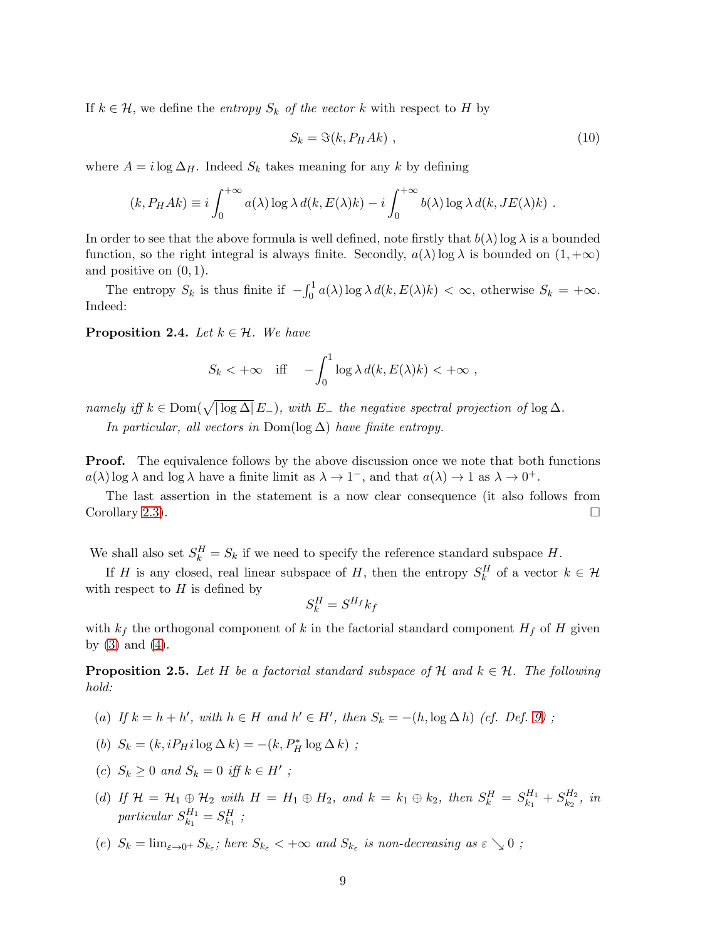If  $k \in \mathcal{H}$ , we define the *entropy*  $S_k$  of the vector k with respect to H by

<span id="page-8-1"></span>
$$
S_k = \Im(k, P_H A k) \tag{10}
$$

where  $A = i \log \Delta_H$ . Indeed  $S_k$  takes meaning for any k by defining

$$
(k, P_H Ak) \equiv i \int_0^{+\infty} a(\lambda) \log \lambda d(k, E(\lambda)k) - i \int_0^{+\infty} b(\lambda) \log \lambda d(k, JE(\lambda)k).
$$

In order to see that the above formula is well defined, note firstly that  $b(\lambda) \log \lambda$  is a bounded function, so the right integral is always finite. Secondly,  $a(\lambda) \log \lambda$  is bounded on  $(1, +\infty)$ and positive on  $(0, 1)$ .

The entropy  $S_k$  is thus finite if  $-\int_0^1 a(\lambda) \log \lambda d(k, E(\lambda)k) < \infty$ , otherwise  $S_k = +\infty$ . Indeed:

<span id="page-8-0"></span>**Proposition 2.4.** Let  $k \in \mathcal{H}$ . We have

$$
S_k < +\infty \quad \text{iff} \quad -\int_0^1 \log \lambda \, d(k, E(\lambda)k) < +\infty \ ,
$$

namely iff  $k \in \text{Dom}(\sqrt{|\log \Delta|} E_{-})$ , with  $E_{-}$  the negative spectral projection of  $\log \Delta$ .

In particular, all vectors in Dom(log  $\Delta$ ) have finite entropy.

**Proof.** The equivalence follows by the above discussion once we note that both functions  $a(\lambda)$  log  $\lambda$  and log  $\lambda$  have a finite limit as  $\lambda \to 1^-$ , and that  $a(\lambda) \to 1$  as  $\lambda \to 0^+$ .

The last assertion in the statement is a now clear consequence (it also follows from Corollary [2.3\)](#page-7-1).

We shall also set  $S_k^H = S_k$  if we need to specify the reference standard subspace H.

If H is any closed, real linear subspace of H, then the entropy  $S_k^H$  of a vector  $k \in \mathcal{H}$ with respect to  $H$  is defined by

$$
S_k^H = S^{H_f} k_f
$$

with  $k_f$  the orthogonal component of k in the factorial standard component  $H_f$  of H given by  $(3)$  and  $(4)$ .

<span id="page-8-2"></span>**Proposition 2.5.** Let H be a factorial standard subspace of H and  $k \in \mathcal{H}$ . The following hold:

- (a) If  $k = h + h'$ , with  $h \in H$  and  $h' \in H'$ , then  $S_k = -(h, \log \Delta h)$  (cf. Def. [9\)](#page-7-0);
- (b)  $S_k = (k, iP_H i \log \Delta k) = -(k, P_H^* \log \Delta k)$ ;
- (c)  $S_k \geq 0$  and  $S_k = 0$  iff  $k \in H'$ ;
- (d) If  $\mathcal{H} = \mathcal{H}_1 \oplus \mathcal{H}_2$  with  $H = H_1 \oplus H_2$ , and  $k = k_1 \oplus k_2$ , then  $S_k^H = S_{k_1}^{H_1}$  $s^{H_1}_{k_1}+S^{H_2}_{k_2}$  $\frac{H_2}{k_2}$ , in  $particular S^{H_1}_{k_1}$  $s_{k_1}^{H_1} = S_{k_1}^H;$
- (e)  $S_k = \lim_{\varepsilon \to 0^+} S_{k_\varepsilon}$ ; here  $S_{k_\varepsilon} < +\infty$  and  $S_{k_\varepsilon}$  is non-decreasing as  $\varepsilon \searrow 0$ ;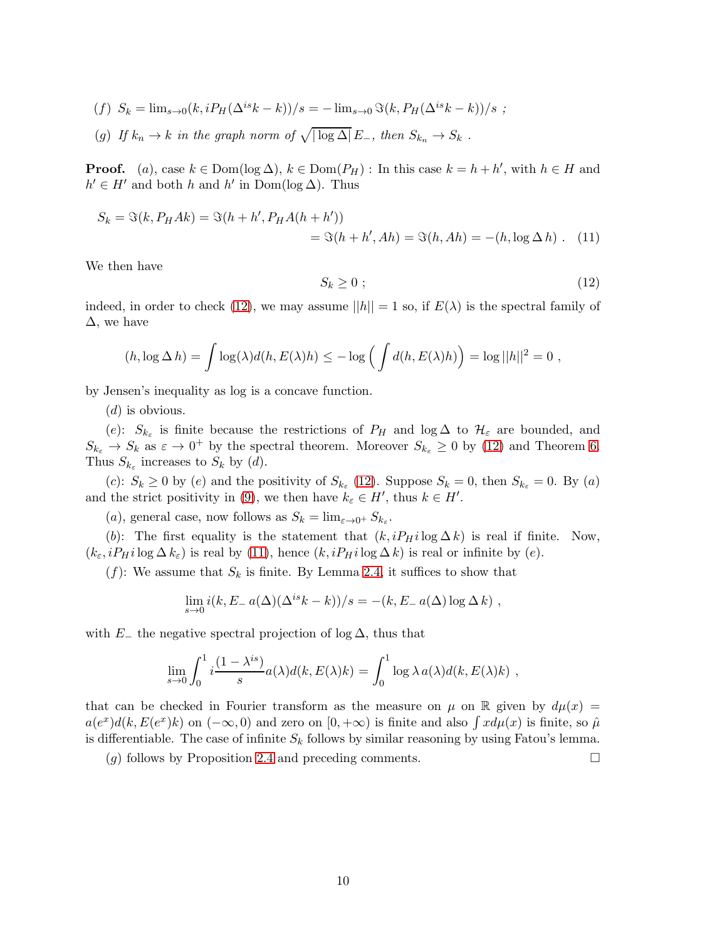- (f)  $S_k = \lim_{s \to 0} (k, i P_H(\Delta^{is} k k))/s = \lim_{s \to 0} \Im(k, P_H(\Delta^{is} k k))/s$ ;
- (g) If  $k_n \to k$  in the graph norm of  $\sqrt{|\log \Delta|} E_-,$  then  $S_{k_n} \to S_k$ .

**Proof.** (a), case  $k \in \text{Dom}(\log \Delta)$ ,  $k \in \text{Dom}(P_H)$ : In this case  $k = h + h'$ , with  $h \in H$  and  $h' \in H'$  and both h and h' in  $Dom(log \Delta)$ . Thus

$$
S_k = \Im(k, P_H Ak) = \Im(h + h', P_H A(h + h'))
$$
  
=  $\Im(h + h', Ah) = \Im(h, Ah) = -(h, \log \Delta h)$ . (11)

<span id="page-9-0"></span>We then have

<span id="page-9-1"></span>
$$
S_k \ge 0 \tag{12}
$$

indeed, in order to check [\(12\)](#page-9-0), we may assume  $||h|| = 1$  so, if  $E(\lambda)$  is the spectral family of  $\Delta$ , we have

$$
(h, \log \Delta h) = \int \log(\lambda) d(h, E(\lambda)h) \leq -\log \left( \int d(h, E(\lambda)h) \right) = \log ||h||^2 = 0,
$$

by Jensen's inequality as log is a concave function.

 $(d)$  is obvious.

(e):  $S_{k_{\varepsilon}}$  is finite because the restrictions of  $P_H$  and  $\log \Delta$  to  $\mathcal{H}_{\varepsilon}$  are bounded, and  $S_{k_{\varepsilon}} \to S_k$  as  $\varepsilon \to 0^+$  by the spectral theorem. Moreover  $S_{k_{\varepsilon}} \geq 0$  by [\(12\)](#page-9-0) and Theorem [6.](#page-6-1) Thus  $S_{k_{\varepsilon}}$  increases to  $S_k$  by (d).

(c):  $S_k \ge 0$  by (e) and the positivity of  $S_{k_{\varepsilon}}$  [\(12\)](#page-9-0). Suppose  $S_k = 0$ , then  $S_{k_{\varepsilon}} = 0$ . By (a) and the strict positivity in [\(9\)](#page-7-0), we then have  $k_{\varepsilon} \in H'$ , thus  $k \in H'$ .

(*a*), general case, now follows as  $S_k = \lim_{\varepsilon \to 0^+} S_{k_\varepsilon}$ .

(b): The first equality is the statement that  $(k, iP_H i \log \Delta k)$  is real if finite. Now,  $(k_{\varepsilon}, iP_H i \log \Delta k_{\varepsilon})$  is real by [\(11\)](#page-9-1), hence  $(k, iP_H i \log \Delta k)$  is real or infinite by  $(e)$ .

 $(f)$ : We assume that  $S_k$  is finite. By Lemma [2.4,](#page-8-0) it suffices to show that

$$
\lim_{s \to 0} i(k, E - a(\Delta)(\Delta^{is}k - k))/s = -(k, E - a(\Delta) \log \Delta k),
$$

with  $E_-\,$  the negative spectral projection of log  $\Delta$ , thus that

$$
\lim_{s \to 0} \int_0^1 i \frac{(1 - \lambda^{is})}{s} a(\lambda) d(k, E(\lambda)k) = \int_0^1 \log \lambda a(\lambda) d(k, E(\lambda)k) ,
$$

that can be checked in Fourier transform as the measure on  $\mu$  on R given by  $d\mu(x)$  =  $a(e^x)d(k, E(e^x)k)$  on  $(-\infty, 0)$  and zero on  $[0, +\infty)$  is finite and also  $\int x d\mu(x)$  is finite, so  $\hat{\mu}$ is differentiable. The case of infinite  $S_k$  follows by similar reasoning by using Fatou's lemma.

(q) follows by Proposition [2.4](#page-8-0) and preceding comments.  $\square$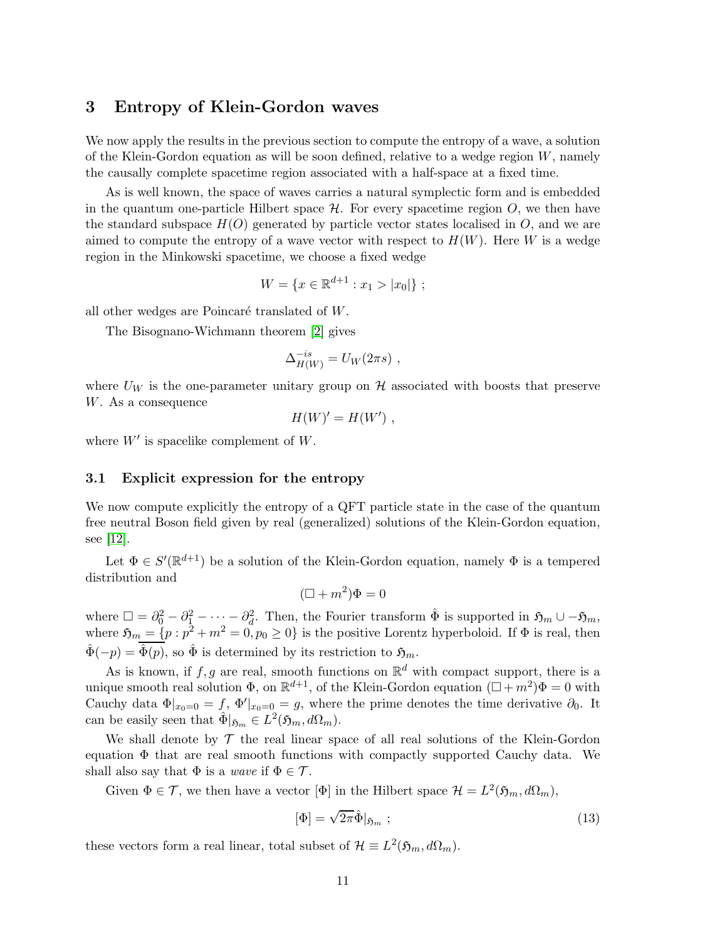# 3 Entropy of Klein-Gordon waves

We now apply the results in the previous section to compute the entropy of a wave, a solution of the Klein-Gordon equation as will be soon defined, relative to a wedge region  $W$ , namely the causally complete spacetime region associated with a half-space at a fixed time.

As is well known, the space of waves carries a natural symplectic form and is embedded in the quantum one-particle Hilbert space  $\mathcal{H}$ . For every spacetime region  $O$ , we then have the standard subspace  $H(O)$  generated by particle vector states localised in O, and we are aimed to compute the entropy of a wave vector with respect to  $H(W)$ . Here W is a wedge region in the Minkowski spacetime, we choose a fixed wedge

$$
W = \{x \in \mathbb{R}^{d+1} : x_1 > |x_0|\};
$$

all other wedges are Poincaré translated of  $W$ .

The Bisognano-Wichmann theorem [\[2\]](#page-21-3) gives

$$
\Delta_{H(W)}^{-is} = U_W(2\pi s) ,
$$

where  $U_W$  is the one-parameter unitary group on  $\mathcal H$  associated with boosts that preserve W. As a consequence

$$
H(W)' = H(W') ,
$$

where  $W'$  is spacelike complement of  $W$ .

#### 3.1 Explicit expression for the entropy

We now compute explicitly the entropy of a QFT particle state in the case of the quantum free neutral Boson field given by real (generalized) solutions of the Klein-Gordon equation, see [\[12\]](#page-22-6).

Let  $\Phi \in \mathcal{S}'(\mathbb{R}^{d+1})$  be a solution of the Klein-Gordon equation, namely  $\Phi$  is a tempered distribution and

$$
(\Box + m^2)\Phi = 0
$$

where  $\Box = \partial_0^2 - \partial_1^2 - \cdots - \partial_d^2$ . Then, the Fourier transform  $\hat{\Phi}$  is supported in  $\mathfrak{H}_m \cup -\mathfrak{H}_m$ , where  $\mathfrak{H}_m = \{p : p^2 + m^2 = 0, p_0 \ge 0\}$  is the positive Lorentz hyperboloid. If  $\Phi$  is real, then  $\hat{\Phi}(-p) = \hat{\Phi}(p)$ , so  $\hat{\Phi}$  is determined by its restriction to  $\mathfrak{H}_m$ .

As is known, if  $f, g$  are real, smooth functions on  $\mathbb{R}^d$  with compact support, there is a unique smooth real solution  $\Phi$ , on  $\mathbb{R}^{d+1}$ , of the Klein-Gordon equation  $(\Box + m^2)\Phi = 0$  with Cauchy data  $\Phi|_{x_0=0} = f$ ,  $\Phi'|_{x_0=0} = g$ , where the prime denotes the time derivative  $\partial_0$ . It can be easily seen that  $\hat{\Phi}|_{\mathfrak{H}_m} \in L^2(\mathfrak{H}_m, d\Omega_m)$ .

We shall denote by  $\mathcal T$  the real linear space of all real solutions of the Klein-Gordon equation  $\Phi$  that are real smooth functions with compactly supported Cauchy data. We shall also say that  $\Phi$  is a *wave* if  $\Phi \in \mathcal{T}$ .

Given  $\Phi \in \mathcal{T}$ , we then have a vector  $[\Phi]$  in the Hilbert space  $\mathcal{H} = L^2(\mathfrak{H}_m, d\Omega_m)$ ,

<span id="page-10-0"></span>
$$
[\Phi] = \sqrt{2\pi} \hat{\Phi}|_{\mathfrak{H}_m} ; \qquad (13)
$$

these vectors form a real linear, total subset of  $\mathcal{H} \equiv L^2(\mathfrak{H}_m, d\Omega_m)$ .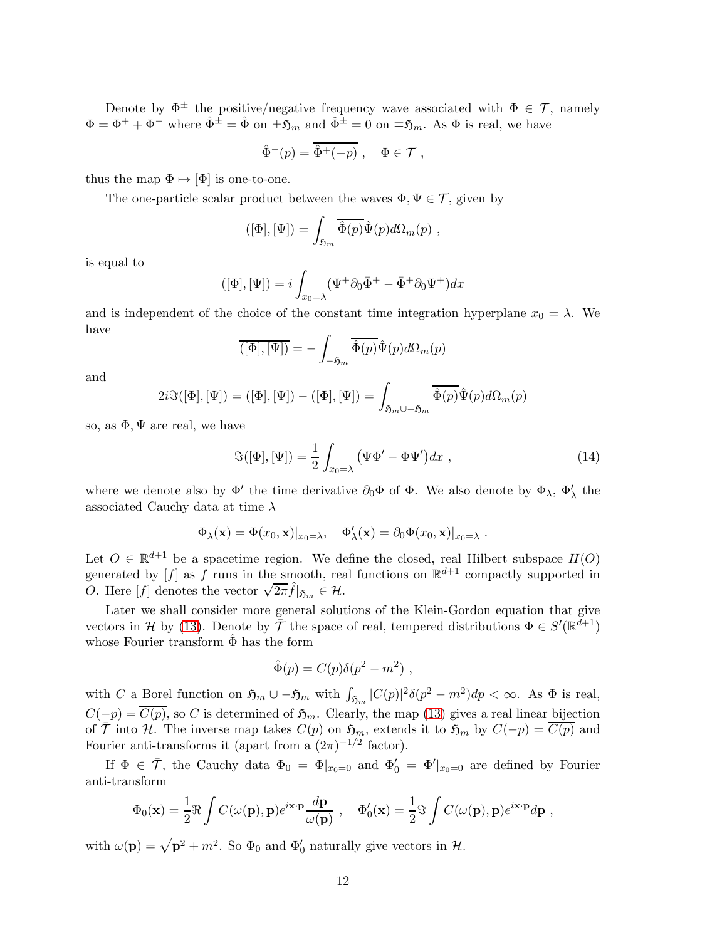Denote by  $\Phi^{\pm}$  the positive/negative frequency wave associated with  $\Phi \in \mathcal{T}$ , namely  $\Phi = \Phi^+ + \Phi^-$  where  $\hat{\Phi}^{\pm} = \hat{\Phi}$  on  $\pm \mathfrak{H}_m$  and  $\hat{\Phi}^{\pm} = 0$  on  $\mp \mathfrak{H}_m$ . As  $\Phi$  is real, we have

$$
\hat{\Phi}^-(p) = \overline{\hat{\Phi}^+(-p)}, \quad \Phi \in \mathcal{T},
$$

thus the map  $\Phi \mapsto [\Phi]$  is one-to-one.

The one-particle scalar product between the waves  $\Phi, \Psi \in \mathcal{T}$ , given by

$$
([\Phi],[\Psi]) = \int_{\mathfrak{H}_m} \overline{\hat{\Phi}(p)} \hat{\Psi}(p) d\Omega_m(p) ,
$$

is equal to

$$
([\Phi],[\Psi]) = i \int_{x_0=\lambda} (\Psi^+ \partial_0 \bar{\Phi}^+ - \bar{\Phi}^+ \partial_0 \Psi^+) dx
$$

and is independent of the choice of the constant time integration hyperplane  $x_0 = \lambda$ . We have

$$
\overline{([\Phi],[\Psi])} = -\int_{-\mathfrak{H}_m} \overline{\hat{\Phi}(p)} \hat{\Psi}(p) d\Omega_m(p)
$$

and

$$
2i\Im([\Phi],[\Psi]) = ([\Phi],[\Psi]) - \overline{([\Phi],[\Psi])} = \int_{\mathfrak{H}_m \cup -\mathfrak{H}_m} \overline{\hat{\Phi}(p)} \hat{\Psi}(p) d\Omega_m(p)
$$

so, as  $\Phi, \Psi$  are real, we have

<span id="page-11-0"></span>
$$
\Im([\Phi],[\Psi]) = \frac{1}{2} \int_{x_0=\lambda} (\Psi \Phi' - \Phi \Psi') dx , \qquad (14)
$$

where we denote also by  $\Phi'$  the time derivative  $\partial_0\Phi$  of  $\Phi$ . We also denote by  $\Phi_\lambda$ ,  $\Phi'_\lambda$  the associated Cauchy data at time  $\lambda$ 

$$
\Phi_{\lambda}(\mathbf{x}) = \Phi(x_0, \mathbf{x})|_{x_0 = \lambda}, \quad \Phi'_{\lambda}(\mathbf{x}) = \partial_0 \Phi(x_0, \mathbf{x})|_{x_0 = \lambda}.
$$

Let  $O \in \mathbb{R}^{d+1}$  be a spacetime region. We define the closed, real Hilbert subspace  $H(O)$ generated by  $[f]$  as f runs in the smooth, real functions on  $\mathbb{R}^{d+1}$  compactly supported in  $O.$  Here [*f*] denotes the vector  $\sqrt{2\pi} \hat{f}|_{\mathfrak{H}_m} \in \mathcal{H}$ .

Later we shall consider more general solutions of the Klein-Gordon equation that give vectors in H by [\(13\)](#page-10-0). Denote by  $\bar{\mathcal{T}}$  the space of real, tempered distributions  $\Phi \in S'(\mathbb{R}^{d+1})$ whose Fourier transform  $\Phi$  has the form

$$
\hat{\Phi}(p) = C(p)\delta(p^2 - m^2) ,
$$

with C a Borel function on  $\mathfrak{H}_m \cup -\mathfrak{H}_m$  with  $\int_{\mathfrak{H}_m} |C(p)|^2 \delta(p^2 - m^2) dp < \infty$ . As  $\Phi$  is real,  $C(-p) = \overline{C(p)}$ , so C is determined of  $\mathfrak{H}_m$ . Clearly, the map [\(13\)](#page-10-0) gives a real linear bijection of  $\overline{\mathcal{T}}$  into H. The inverse map takes  $C(p)$  on  $\mathfrak{H}_m$ , extends it to  $\mathfrak{H}_m$  by  $C(-p) = \overline{C(p)}$  and Fourier anti-transforms it (apart from a  $(2\pi)^{-1/2}$  factor).

If  $\Phi \in \overline{\mathcal{T}}$ , the Cauchy data  $\Phi_0 = \Phi|_{x_0=0}$  and  $\Phi'_0 = \Phi'|_{x_0=0}$  are defined by Fourier anti-transform

$$
\Phi_0(\mathbf{x}) = \frac{1}{2} \Re \int C(\omega(\mathbf{p}), \mathbf{p}) e^{i\mathbf{x} \cdot \mathbf{p}} \frac{d\mathbf{p}}{\omega(\mathbf{p})} , \quad \Phi'_0(\mathbf{x}) = \frac{1}{2} \Im \int C(\omega(\mathbf{p}), \mathbf{p}) e^{i\mathbf{x} \cdot \mathbf{p}} d\mathbf{p} ,
$$

with  $\omega(\mathbf{p}) = \sqrt{\mathbf{p}^2 + m^2}$ . So  $\Phi_0$  and  $\Phi'_0$  naturally give vectors in  $\mathcal{H}$ .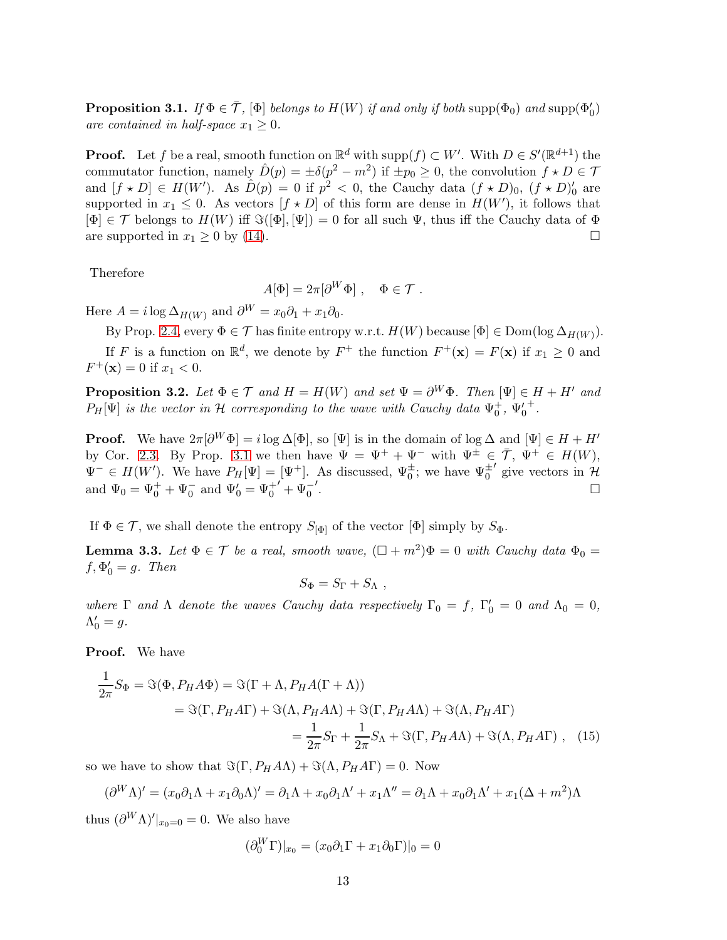<span id="page-12-0"></span>**Proposition 3.1.** If  $\Phi \in \overline{\mathcal{T}}$ ,  $[\Phi]$  belongs to  $H(W)$  if and only if both  $\text{supp}(\Phi_0)$  and  $\text{supp}(\Phi'_0)$ are contained in half-space  $x_1 \geq 0$ .

**Proof.** Let f be a real, smooth function on  $\mathbb{R}^d$  with supp $(f) \subset W'$ . With  $D \in S'(\mathbb{R}^{d+1})$  the commutator function, namely  $\hat{D}(p) = \pm \delta(p^2 - m^2)$  if  $\pm p_0 \ge 0$ , the convolution  $f \star D \in \mathcal{T}$ and  $[f * D] \in H(W')$ . As  $\hat{D}(p) = 0$  if  $p^2 < 0$ , the Cauchy data  $(f * D)_0$ ,  $(f * D)'_0$  are supported in  $x_1 \leq 0$ . As vectors  $[f \star D]$  of this form are dense in  $H(W')$ , it follows that  $[\Phi] \in \mathcal{T}$  belongs to  $H(W)$  iff  $\Im([\Phi], [\Psi]) = 0$  for all such  $\Psi$ , thus iff the Cauchy data of  $\Phi$ are supported in  $x_1 \geq 0$  by [\(14\)](#page-11-0).

Therefore

$$
A[\Phi] = 2\pi [\partial^W \Phi] , \quad \Phi \in \mathcal{T} .
$$

Here  $A = i \log \Delta_{H(W)}$  and  $\partial^W = x_0 \partial_1 + x_1 \partial_0$ .

By Prop. [2.4,](#page-8-0) every  $\Phi \in \mathcal{T}$  has finite entropy w.r.t.  $H(W)$  because  $[\Phi] \in \text{Dom}(\log \Delta_{H(W)})$ . If F is a function on  $\mathbb{R}^d$ , we denote by  $F^+$  the function  $F^+(\mathbf{x}) = F(\mathbf{x})$  if  $x_1 \geq 0$  and  $F^+({\bf x}) = 0$  if  $x_1 < 0$ .

<span id="page-12-1"></span>**Proposition 3.2.** Let  $\Phi \in \mathcal{T}$  and  $H = H(W)$  and set  $\Psi = \partial^W \Phi$ . Then  $[\Psi] \in H + H'$  and  $P_H[\Psi]$  is the vector in H corresponding to the wave with Cauchy data  $\Psi_0^+$ ,  $\Psi_0'$ + .

**Proof.** We have  $2\pi[\partial^W \Phi] = i \log \Delta[\Phi]$ , so  $[\Psi]$  is in the domain of  $\log \Delta$  and  $[\Psi] \in H + H'$ by Cor. [2.3.](#page-7-1) By Prop. [3.1](#page-12-0) we then have  $\Psi = \Psi^+ + \Psi^-$  with  $\Psi^{\pm} \in \overline{\mathcal{T}}, \Psi^+ \in H(W)$ ,  $\Psi^{-} \in H(W')$ . We have  $P_{H}[\Psi] = [\Psi^{+}]$ . As discussed,  $\Psi_{0}^{\pm}$ ; we have  $\Psi_{0}^{\pm}$  $'$  give vectors in  $\mathcal{H}$ and  $\Psi_0 = \Psi_0^+ + \Psi_0^-$  and  $\Psi_0' = \Psi_0^{+'} + \Psi_0^-$ ′.<br>.

If  $\Phi \in \mathcal{T}$ , we shall denote the entropy  $S_{[\Phi]}$  of the vector  $[\Phi]$  simply by  $S_{\Phi}$ .

<span id="page-12-2"></span>**Lemma 3.3.** Let  $\Phi \in \mathcal{T}$  be a real, smooth wave,  $(\Box + m^2)\Phi = 0$  with Cauchy data  $\Phi_0 =$  $f, \Phi'_0 = g$ . Then

$$
S_{\Phi} = S_{\Gamma} + S_{\Lambda} ,
$$

where  $\Gamma$  and  $\Lambda$  denote the waves Cauchy data respectively  $\Gamma_0 = f$ ,  $\Gamma'_0 = 0$  and  $\Lambda_0 = 0$ ,  $\Lambda'_0 = g.$ 

Proof. We have

$$
\frac{1}{2\pi}S_{\Phi} = \Im(\Phi, P_H A \Phi) = \Im(\Gamma + \Lambda, P_H A (\Gamma + \Lambda))
$$
  
=  $\Im(\Gamma, P_H A \Gamma) + \Im(\Lambda, P_H A \Lambda) + \Im(\Gamma, P_H A \Lambda) + \Im(\Lambda, P_H A \Gamma)$   
=  $\frac{1}{2\pi}S_{\Gamma} + \frac{1}{2\pi}S_{\Lambda} + \Im(\Gamma, P_H A \Lambda) + \Im(\Lambda, P_H A \Gamma)$ , (15)

so we have to show that  $\Im(\Gamma, P_H A \Lambda) + \Im(\Lambda, P_H A \Gamma) = 0$ . Now

$$
(\partial^W \Lambda)' = (x_0 \partial_1 \Lambda + x_1 \partial_0 \Lambda)' = \partial_1 \Lambda + x_0 \partial_1 \Lambda' + x_1 \Lambda'' = \partial_1 \Lambda + x_0 \partial_1 \Lambda' + x_1 (\Delta + m^2) \Lambda
$$

thus  $(\partial^W \Lambda)'|_{x_0=0} = 0$ . We also have

$$
(\partial_0^W \Gamma)|_{x_0} = (x_0 \partial_1 \Gamma + x_1 \partial_0 \Gamma)|_0 = 0
$$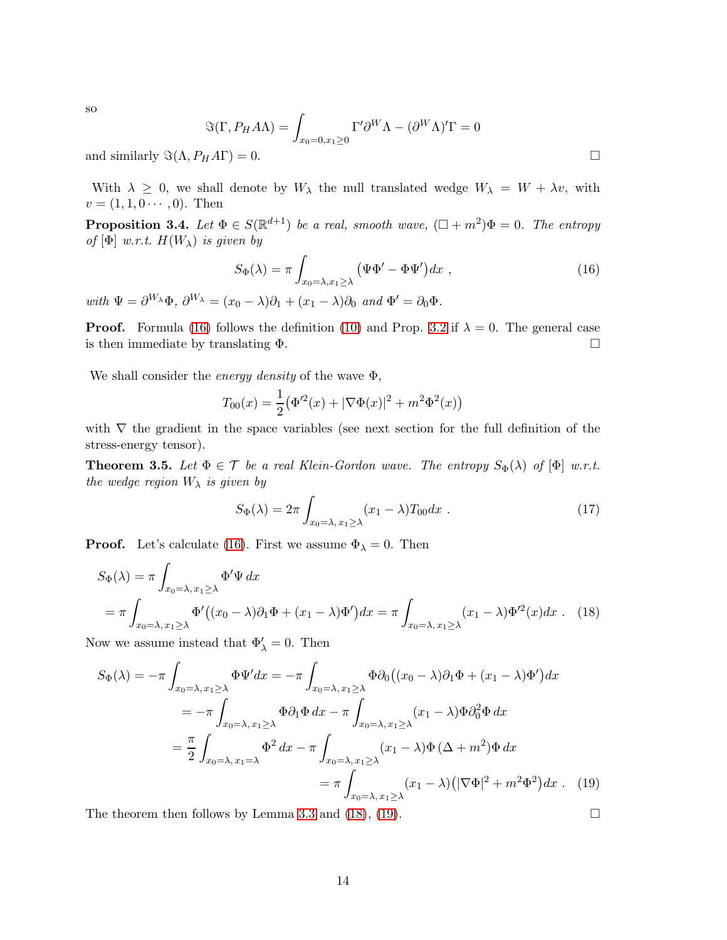so

$$
\Im(\Gamma, P_H A \Lambda) = \int_{x_0 = 0, x_1 \ge 0} \Gamma' \partial^W \Lambda - (\partial^W \Lambda)' \Gamma = 0
$$

and similarly  $\Im(\Lambda, P_H A \Gamma) = 0$ .

With  $\lambda \geq 0$ , we shall denote by  $W_{\lambda}$  the null translated wedge  $W_{\lambda} = W + \lambda v$ , with  $v = (1, 1, 0 \cdots, 0)$ . Then

**Proposition 3.4.** Let  $\Phi \in S(\mathbb{R}^{d+1})$  be a real, smooth wave,  $(\Box + m^2)\Phi = 0$ . The entropy of  $[\Phi]$  w.r.t.  $H(W_\lambda)$  is given by

<span id="page-13-0"></span>
$$
S_{\Phi}(\lambda) = \pi \int_{x_0 = \lambda, x_1 \ge \lambda} \left( \Psi \Phi' - \Phi \Psi' \right) dx , \qquad (16)
$$

with  $\Psi = \partial^{W_{\lambda}} \Phi$ ,  $\partial^{W_{\lambda}} = (x_0 - \lambda)\partial_1 + (x_1 - \lambda)\partial_0$  and  $\Phi' = \partial_0 \Phi$ .

**Proof.** Formula [\(16\)](#page-13-0) follows the definition [\(10\)](#page-8-1) and Prop. [3.2](#page-12-1) if  $\lambda = 0$ . The general case is then immediate by translating  $\Phi$ .

We shall consider the *energy density* of the wave  $\Phi$ ,

$$
T_{00}(x) = \frac{1}{2} (\Phi'^2(x) + |\nabla \Phi(x)|^2 + m^2 \Phi^2(x))
$$

with  $\nabla$  the gradient in the space variables (see next section for the full definition of the stress-energy tensor).

<span id="page-13-3"></span>**Theorem 3.5.** Let  $\Phi \in \mathcal{T}$  be a real Klein-Gordon wave. The entropy  $S_{\Phi}(\lambda)$  of  $[\Phi]$  w.r.t. the wedge region  $W_{\lambda}$  is given by

$$
S_{\Phi}(\lambda) = 2\pi \int_{x_0 = \lambda, x_1 \ge \lambda} (x_1 - \lambda) T_{00} dx . \qquad (17)
$$

**Proof.** Let's calculate [\(16\)](#page-13-0). First we assume  $\Phi_{\lambda} = 0$ . Then

$$
S_{\Phi}(\lambda) = \pi \int_{x_0 = \lambda, x_1 \ge \lambda} \Phi' \Psi dx
$$
  
=  $\pi \int_{x_0 = \lambda, x_1 \ge \lambda} \Phi'((x_0 - \lambda)\partial_1 \Phi + (x_1 - \lambda)\Phi') dx = \pi \int_{x_0 = \lambda, x_1 \ge \lambda} (x_1 - \lambda)\Phi'^2(x) dx$ . (18)

Now we assume instead that  $\Phi'_{\lambda} = 0$ . Then

$$
S_{\Phi}(\lambda) = -\pi \int_{x_0 = \lambda, x_1 \ge \lambda} \Phi \Psi' dx = -\pi \int_{x_0 = \lambda, x_1 \ge \lambda} \Phi \partial_0 \left( (x_0 - \lambda) \partial_1 \Phi + (x_1 - \lambda) \Phi' \right) dx
$$
  
\n
$$
= -\pi \int_{x_0 = \lambda, x_1 \ge \lambda} \Phi \partial_1 \Phi dx - \pi \int_{x_0 = \lambda, x_1 \ge \lambda} (x_1 - \lambda) \Phi \partial_0^2 \Phi dx
$$
  
\n
$$
= \frac{\pi}{2} \int_{x_0 = \lambda, x_1 = \lambda} \Phi^2 dx - \pi \int_{x_0 = \lambda, x_1 \ge \lambda} (x_1 - \lambda) \Phi \left( \Delta + m^2 \right) \Phi dx
$$
  
\n
$$
= \pi \int_{x_0 = \lambda, x_1 \ge \lambda} (x_1 - \lambda) \left( |\nabla \Phi|^2 + m^2 \Phi^2 \right) dx . \quad (19)
$$

The theorem then follows by Lemma [3.3](#page-12-2) and [\(18\)](#page-13-1), [\(19\)](#page-13-2).  $\Box$ 

<span id="page-13-2"></span><span id="page-13-1"></span>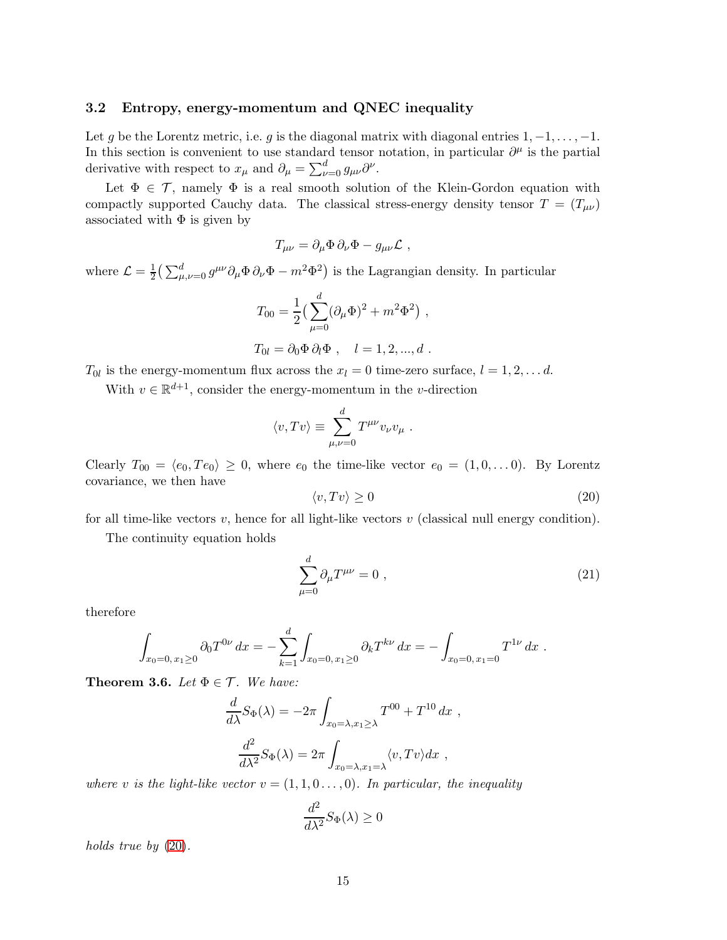#### 3.2 Entropy, energy-momentum and QNEC inequality

Let g be the Lorentz metric, i.e. g is the diagonal matrix with diagonal entries  $1, -1, \ldots, -1$ . In this section is convenient to use standard tensor notation, in particular  $\partial^{\mu}$  is the partial derivative with respect to  $x_{\mu}$  and  $\partial_{\mu} = \sum_{\nu=0}^{d} g_{\mu\nu} \partial^{\nu}$ .

Let  $\Phi \in \mathcal{T}$ , namely  $\Phi$  is a real smooth solution of the Klein-Gordon equation with compactly supported Cauchy data. The classical stress-energy density tensor  $T = (T_{\mu\nu})$ associated with  $\Phi$  is given by

$$
T_{\mu\nu} = \partial_{\mu}\Phi\,\partial_{\nu}\Phi - g_{\mu\nu}\mathcal{L} ,
$$

where  $\mathcal{L} = \frac{1}{2}$  $\frac{1}{2} \left( \sum_{\mu,\nu=0}^d g^{\mu\nu} \partial_\mu \Phi \partial_\nu \Phi - m^2 \Phi^2 \right)$  is the Lagrangian density. In particular

$$
T_{00} = \frac{1}{2} \left( \sum_{\mu=0}^{d} (\partial_{\mu} \Phi)^{2} + m^{2} \Phi^{2} \right) ,
$$
  

$$
T_{0l} = \partial_{0} \Phi \partial_{l} \Phi , \quad l = 1, 2, ..., d .
$$

 $T_{0l}$  is the energy-momentum flux across the  $x_l = 0$  time-zero surface,  $l = 1, 2, \ldots d$ .

With  $v \in \mathbb{R}^{d+1}$ , consider the energy-momentum in the *v*-direction

<span id="page-14-0"></span>
$$
\langle v, Tv \rangle \equiv \sum_{\mu,\nu=0}^{d} T^{\mu\nu} v_{\nu} v_{\mu} .
$$

Clearly  $T_{00} = \langle e_0, Te_0 \rangle \ge 0$ , where  $e_0$  the time-like vector  $e_0 = (1, 0, \ldots 0)$ . By Lorentz covariance, we then have

$$
\langle v, Tv \rangle \ge 0 \tag{20}
$$

for all time-like vectors  $v$ , hence for all light-like vectors  $v$  (classical null energy condition).

The continuity equation holds

<span id="page-14-1"></span>
$$
\sum_{\mu=0}^{d} \partial_{\mu} T^{\mu\nu} = 0 , \qquad (21)
$$

therefore

$$
\int_{x_0=0, x_1\geq 0} \partial_0 T^{0\nu} dx = -\sum_{k=1}^d \int_{x_0=0, x_1\geq 0} \partial_k T^{k\nu} dx = -\int_{x_0=0, x_1=0} T^{1\nu} dx.
$$

<span id="page-14-2"></span>**Theorem 3.6.** Let  $\Phi \in \mathcal{T}$ . We have:

$$
\frac{d}{d\lambda}S_{\Phi}(\lambda) = -2\pi \int_{x_0 = \lambda, x_1 \ge \lambda} T^{00} + T^{10} dx ,
$$

$$
\frac{d^2}{d\lambda^2}S_{\Phi}(\lambda) = 2\pi \int_{x_0 = \lambda, x_1 = \lambda} \langle v, Tv \rangle dx ,
$$

where v is the light-like vector  $v = (1, 1, 0, \ldots, 0)$ . In particular, the inequality

$$
\frac{d^2}{d\lambda^2}S_{\Phi}(\lambda)\geq 0
$$

holds true by  $(20)$ .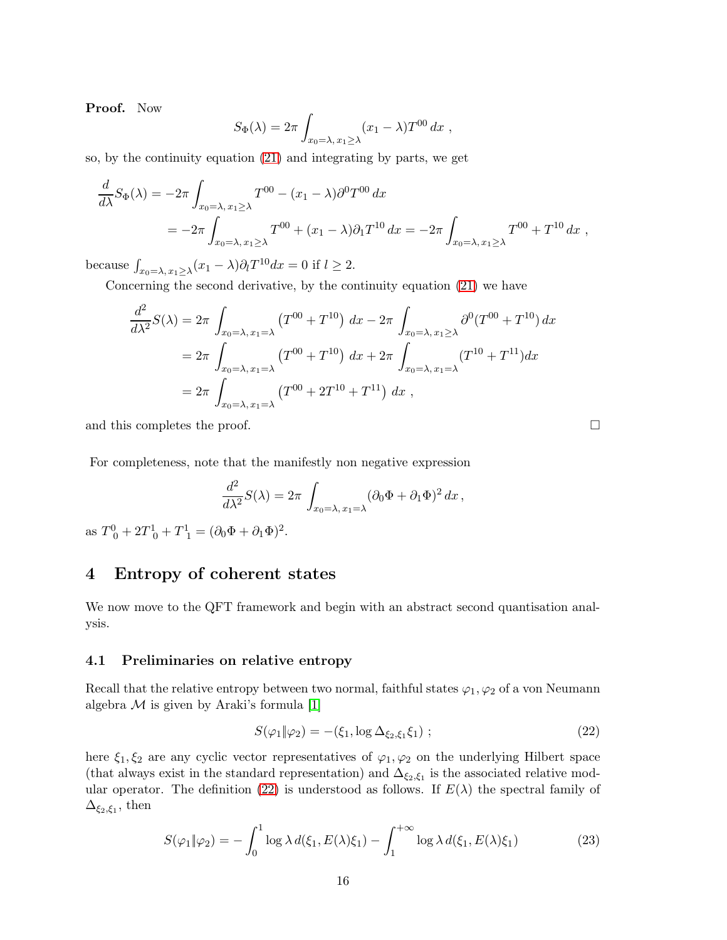Proof. Now

$$
S_{\Phi}(\lambda) = 2\pi \int_{x_0 = \lambda, x_1 \ge \lambda} (x_1 - \lambda) T^{00} dx ,
$$

so, by the continuity equation [\(21\)](#page-14-1) and integrating by parts, we get

$$
\frac{d}{d\lambda}S_{\Phi}(\lambda) = -2\pi \int_{x_0=\lambda, x_1\geq \lambda} T^{00} - (x_1 - \lambda)\partial^0 T^{00} dx
$$
  
=  $-2\pi \int_{x_0=\lambda, x_1\geq \lambda} T^{00} + (x_1 - \lambda)\partial_1 T^{10} dx = -2\pi \int_{x_0=\lambda, x_1\geq \lambda} T^{00} + T^{10} dx$ ,

because  $\int_{x_0=\lambda, x_1\geq \lambda} (x_1-\lambda) \partial_l T^{10} dx = 0$  if  $l \geq 2$ .

Concerning the second derivative, by the continuity equation [\(21\)](#page-14-1) we have

$$
\frac{d^2}{d\lambda^2} S(\lambda) = 2\pi \int_{x_0 = \lambda, x_1 = \lambda} \left( T^{00} + T^{10} \right) dx - 2\pi \int_{x_0 = \lambda, x_1 \ge \lambda} \partial^0 (T^{00} + T^{10}) dx
$$
  
=  $2\pi \int_{x_0 = \lambda, x_1 = \lambda} \left( T^{00} + T^{10} \right) dx + 2\pi \int_{x_0 = \lambda, x_1 = \lambda} \left( T^{10} + T^{11} \right) dx$   
=  $2\pi \int_{x_0 = \lambda, x_1 = \lambda} \left( T^{00} + 2T^{10} + T^{11} \right) dx$ ,

and this completes the proof.  $\Box$ 

For completeness, note that the manifestly non negative expression

$$
\frac{d^2}{d\lambda^2}S(\lambda) = 2\pi \int_{x_0=\lambda, x_1=\lambda} (\partial_0 \Phi + \partial_1 \Phi)^2 dx,
$$

as  $T^0_0 + 2T^1_0 + T^1_1 = (\partial_0 \Phi + \partial_1 \Phi)^2$ .

# <span id="page-15-0"></span>4 Entropy of coherent states

We now move to the QFT framework and begin with an abstract second quantisation analysis.

### 4.1 Preliminaries on relative entropy

Recall that the relative entropy between two normal, faithful states  $\varphi_1, \varphi_2$  of a von Neumann algebra  $M$  is given by Araki's formula [\[1\]](#page-21-1)

<span id="page-15-1"></span>
$$
S(\varphi_1 \| \varphi_2) = -(\xi_1, \log \Delta_{\xi_2, \xi_1} \xi_1); \qquad (22)
$$

here  $\xi_1, \xi_2$  are any cyclic vector representatives of  $\varphi_1, \varphi_2$  on the underlying Hilbert space (that always exist in the standard representation) and  $\Delta_{\xi_2,\xi_1}$  is the associated relative mod-ular operator. The definition [\(22\)](#page-15-1) is understood as follows. If  $E(\lambda)$  the spectral family of  $\Delta_{\xi_2,\xi_1}$ , then

<span id="page-15-2"></span>
$$
S(\varphi_1 \| \varphi_2) = -\int_0^1 \log \lambda d(\xi_1, E(\lambda)\xi_1) - \int_1^{+\infty} \log \lambda d(\xi_1, E(\lambda)\xi_1)
$$
 (23)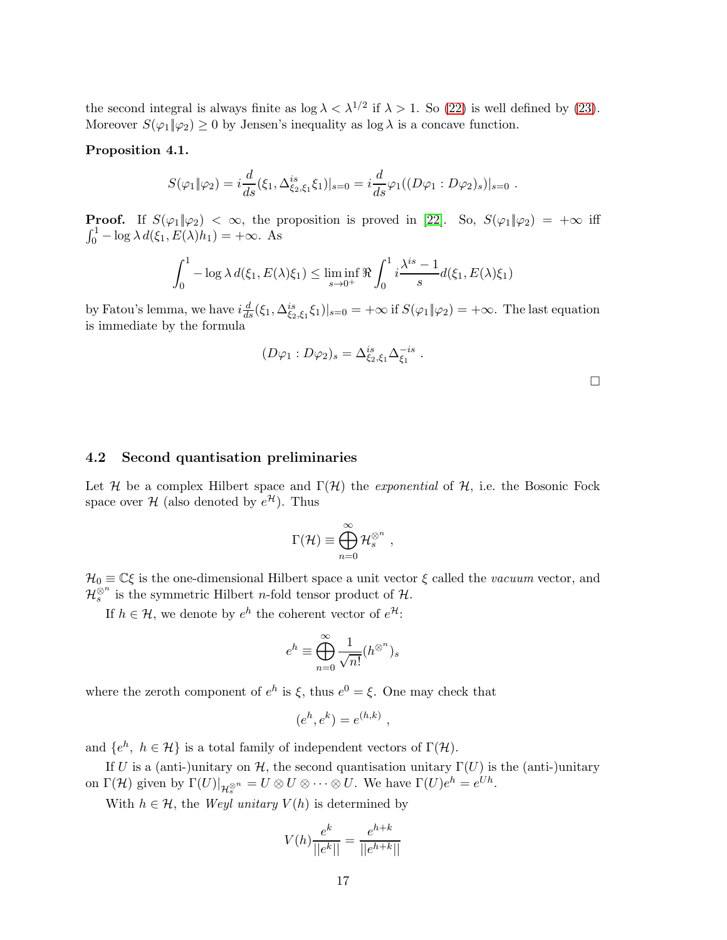the second integral is always finite as  $\log \lambda < \lambda^{1/2}$  if  $\lambda > 1$ . So [\(22\)](#page-15-1) is well defined by [\(23\)](#page-15-2). Moreover  $S(\varphi_1|\varphi_2) \geq 0$  by Jensen's inequality as  $\log \lambda$  is a concave function.

### <span id="page-16-0"></span>Proposition 4.1.

$$
S(\varphi_1 \| \varphi_2) = i \frac{d}{ds}(\xi_1, \Delta_{\xi_2, \xi_1}^{is} \xi_1)|_{s=0} = i \frac{d}{ds} \varphi_1((D\varphi_1 : D\varphi_2)_s)|_{s=0}.
$$

**Proof.** If  $S(\varphi_1|\varphi_2) < \infty$ , the proposition is proved in [\[22\]](#page-22-10). So,  $S(\varphi_1|\varphi_2) = +\infty$  iff  $\int_0^1 -\log \lambda d(\xi_1, E(\lambda)h_1) = +\infty$ . As

$$
\int_0^1 -\log \lambda d(\xi_1, E(\lambda)\xi_1) \le \liminf_{s \to 0^+} \Re \int_0^1 i \frac{\lambda^{is} - 1}{s} d(\xi_1, E(\lambda)\xi_1)
$$

by Fatou's lemma, we have  $i\frac{d}{ds}(\xi_1, \Delta_{\xi_2,\xi_1}^{is}\xi_1)|_{s=0} = +\infty$  if  $S(\varphi_1 \| \varphi_2) = +\infty$ . The last equation is immediate by the formula

$$
(D\varphi_1 : D\varphi_2)_s = \Delta_{\xi_2, \xi_1}^{is} \Delta_{\xi_1}^{-is} .
$$

### 4.2 Second quantisation preliminaries

Let H be a complex Hilbert space and  $\Gamma(\mathcal{H})$  the *exponential* of H, i.e. the Bosonic Fock space over  $\mathcal{H}$  (also denoted by  $e^{\mathcal{H}}$ ). Thus

$$
\Gamma(\mathcal{H}) \equiv \bigoplus_{n=0}^{\infty} \mathcal{H}_s^{\otimes^n} ,
$$

 $\mathcal{H}_0\equiv\mathbb{C}\xi$  is the one-dimensional Hilbert space a unit vector  $\xi$  <br>called the  $vacuum$  vector, and  $\mathcal{H}_s^{\otimes n}$  is the symmetric Hilbert *n*-fold tensor product of  $\mathcal{H}$ .

If  $h \in \mathcal{H}$ , we denote by  $e^h$  the coherent vector of  $e^{\mathcal{H}}$ :

$$
e^h \equiv \bigoplus_{n=0}^{\infty} \frac{1}{\sqrt{n!}} (h^{\otimes^n})_s
$$

where the zeroth component of  $e^h$  is  $\xi$ , thus  $e^0 = \xi$ . One may check that

$$
(e^h, e^k) = e^{(h,k)} ,
$$

and  $\{e^h, h \in \mathcal{H}\}\$ is a total family of independent vectors of  $\Gamma(\mathcal{H})$ .

If U is a (anti-)unitary on H, the second quantisation unitary  $\Gamma(U)$  is the (anti-)unitary on  $\Gamma(\mathcal{H})$  given by  $\Gamma(U)|_{\mathcal{H}^{\otimes n}_s} = U \otimes U \otimes \cdots \otimes U$ . We have  $\Gamma(U)e^{h} = e^{Uh}$ .

With  $h \in \mathcal{H}$ , the *Weyl unitary*  $V(h)$  is determined by

$$
V(h)\frac{e^k}{||e^k||} = \frac{e^{h+k}}{||e^{h+k}||}
$$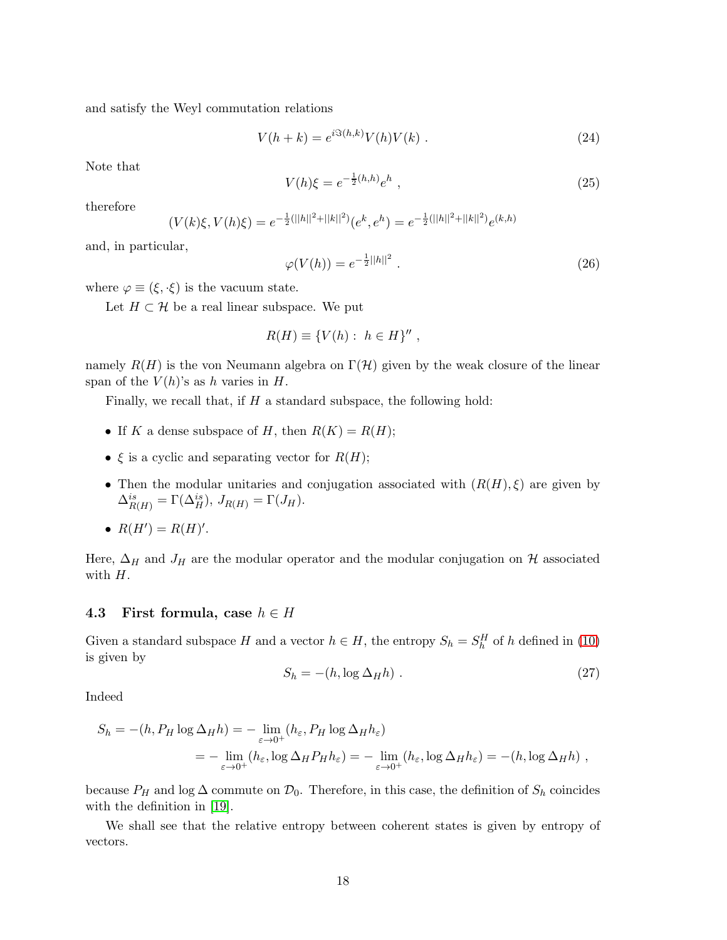and satisfy the Weyl commutation relations

<span id="page-17-0"></span>
$$
V(h + k) = e^{i \Im(h, k)} V(h) V(k) . \tag{24}
$$

Note that

$$
V(h)\xi = e^{-\frac{1}{2}(h,h)}e^h \t{,} \t(25)
$$

therefore

$$
(V(k)\xi, V(h)\xi) = e^{-\frac{1}{2}(|h||^2 + ||k||^2)}(e^k, e^h) = e^{-\frac{1}{2}(|h||^2 + ||k||^2)}e^{(k,h)}
$$

and, in particular,

$$
\varphi(V(h)) = e^{-\frac{1}{2}||h||^2} \,. \tag{26}
$$

where  $\varphi \equiv (\xi, \cdot \xi)$  is the vacuum state.

Let  $H \subset \mathcal{H}$  be a real linear subspace. We put

$$
R(H) \equiv \{V(h): h \in H\}'' ,
$$

namely  $R(H)$  is the von Neumann algebra on  $\Gamma(\mathcal{H})$  given by the weak closure of the linear span of the  $V(h)$ 's as h varies in H.

Finally, we recall that, if  $H$  a standard subspace, the following hold:

- If K a dense subspace of H, then  $R(K) = R(H)$ ;
- $\xi$  is a cyclic and separating vector for  $R(H)$ ;
- Then the modular unitaries and conjugation associated with  $(R(H), \xi)$  are given by  $\Delta^{is}_{R(H)} = \Gamma(\Delta_H^{is}), J_{R(H)} = \Gamma(J_H).$
- $R(H') = R(H)'$ .

Here,  $\Delta_H$  and  $J_H$  are the modular operator and the modular conjugation on H associated with  $H$ .

#### 4.3 First formula, case  $h \in H$

Given a standard subspace H and a vector  $h \in H$ , the entropy  $S_h = S_h^H$  of h defined in [\(10\)](#page-8-1) is given by

$$
S_h = -(h, \log \Delta_H h) \tag{27}
$$

Indeed

$$
S_h = -(h, P_H \log \Delta_H h) = -\lim_{\varepsilon \to 0^+} (h_\varepsilon, P_H \log \Delta_H h_\varepsilon)
$$
  
= 
$$
-\lim_{\varepsilon \to 0^+} (h_\varepsilon, \log \Delta_H P_H h_\varepsilon) = -\lim_{\varepsilon \to 0^+} (h_\varepsilon, \log \Delta_H h_\varepsilon) = -(h, \log \Delta_H h) ,
$$

because  $P_H$  and log  $\Delta$  commute on  $\mathcal{D}_0$ . Therefore, in this case, the definition of  $S_h$  coincides with the definition in [\[19\]](#page-22-4).

We shall see that the relative entropy between coherent states is given by entropy of vectors.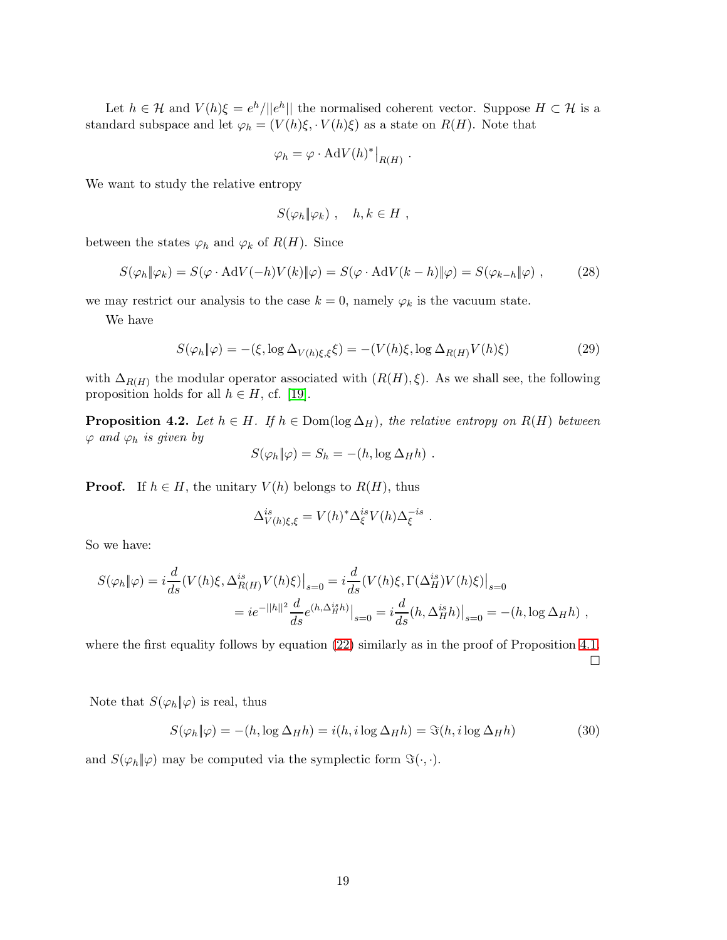Let  $h \in \mathcal{H}$  and  $V(h)\xi = e^h/||e^h||$  the normalised coherent vector. Suppose  $H \subset \mathcal{H}$  is a standard subspace and let  $\varphi_h = (V(h)\xi, V(h)\xi)$  as a state on  $R(H)$ . Note that

$$
\varphi_h = \varphi \cdot \mathrm{Ad}V(h)^* \big|_{R(H)}.
$$

We want to study the relative entropy

$$
S(\varphi_h \| \varphi_k) \ , \quad h, k \in H \ ,
$$

between the states  $\varphi_h$  and  $\varphi_k$  of  $R(H)$ . Since

$$
S(\varphi_h \| \varphi_k) = S(\varphi \cdot \text{Ad}V(-h)V(k) \| \varphi) = S(\varphi \cdot \text{Ad}V(k-h) \| \varphi) = S(\varphi_{k-h} \| \varphi) , \tag{28}
$$

we may restrict our analysis to the case  $k = 0$ , namely  $\varphi_k$  is the vacuum state.

We have

$$
S(\varphi_h \| \varphi) = -(\xi, \log \Delta_{V(h)\xi, \xi}\xi) = -(V(h)\xi, \log \Delta_{R(H)}V(h)\xi)
$$
\n(29)

with  $\Delta_{R(H)}$  the modular operator associated with  $(R(H), \xi)$ . As we shall see, the following proposition holds for all  $h \in H$ , cf. [\[19\]](#page-22-4).

<span id="page-18-0"></span>**Proposition 4.2.** Let  $h \in H$ . If  $h \in \text{Dom}(\log \Delta_H)$ , the relative entropy on  $R(H)$  between  $\varphi$  and  $\varphi_h$  is given by

$$
S(\varphi_h \| \varphi) = S_h = -(h, \log \Delta_H h) .
$$

**Proof.** If  $h \in H$ , the unitary  $V(h)$  belongs to  $R(H)$ , thus

$$
\Delta_{V(h)\xi,\xi}^{is} = V(h)^* \Delta_{\xi}^{is} V(h) \Delta_{\xi}^{-is} .
$$

So we have:

$$
S(\varphi_h \| \varphi) = i \frac{d}{ds} (V(h)\xi, \Delta_{R(H)}^{is} V(h)\xi) \Big|_{s=0} = i \frac{d}{ds} (V(h)\xi, \Gamma(\Delta_H^{is}) V(h)\xi) \Big|_{s=0}
$$
  
=  $ie^{-||h||^2} \frac{d}{ds} e^{(h, \Delta_H^{is} h)} \Big|_{s=0} = i \frac{d}{ds} (h, \Delta_H^{is} h) \Big|_{s=0} = -(h, \log \Delta_H h) ,$ 

where the first equality follows by equation  $(22)$  similarly as in the proof of Proposition [4.1.](#page-16-0)  $\Box$ 

Note that  $S(\varphi_h \| \varphi)$  is real, thus

$$
S(\varphi_h \| \varphi) = -(h, \log \Delta_H h) = i(h, i \log \Delta_H h) = \Im(h, i \log \Delta_H h)
$$
(30)

and  $S(\varphi_h|\varphi)$  may be computed via the symplectic form  $\Im(\cdot,\cdot)$ .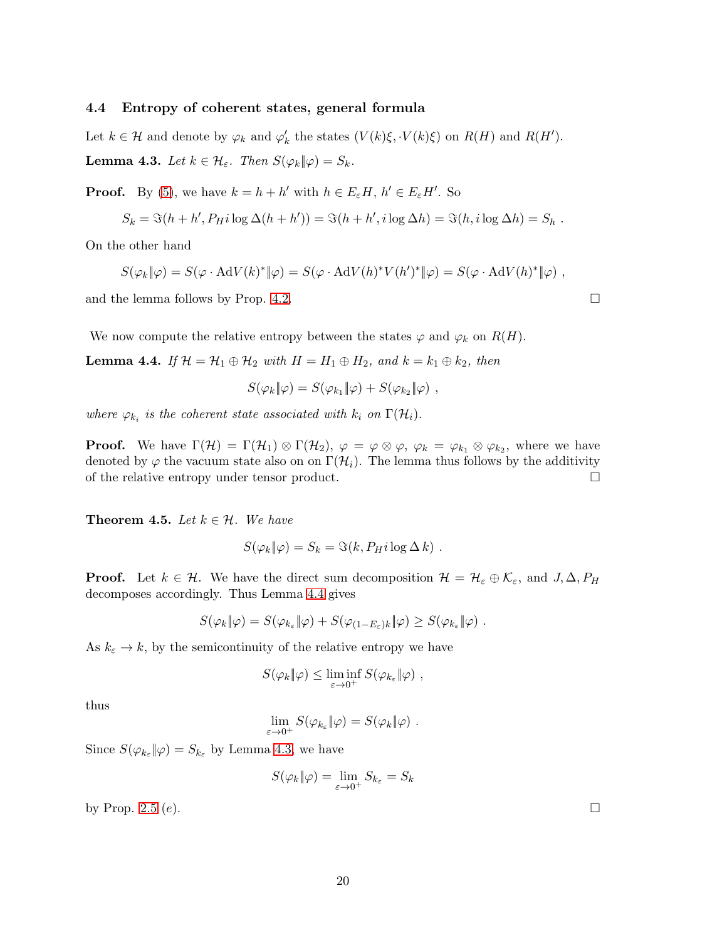#### 4.4 Entropy of coherent states, general formula

<span id="page-19-1"></span>Let  $k \in \mathcal{H}$  and denote by  $\varphi_k$  and  $\varphi'_k$  the states  $(V(k)\xi, \cdot V(k)\xi)$  on  $R(H)$  and  $R(H')$ . **Lemma 4.3.** Let  $k \in \mathcal{H}_{\varepsilon}$ . Then  $S(\varphi_k \| \varphi) = S_k$ .

**Proof.** By [\(5\)](#page-6-2), we have  $k = h + h'$  with  $h \in E_{\varepsilon}H$ ,  $h' \in E_{\varepsilon}H'$ . So

$$
S_k = \Im(h + h', P_H i \log \Delta(h + h')) = \Im(h + h', i \log \Delta h) = \Im(h, i \log \Delta h) = S_h.
$$

On the other hand

$$
S(\varphi_k \| \varphi) = S(\varphi \cdot \mathrm{Ad}V(k)^* \| \varphi) = S(\varphi \cdot \mathrm{Ad}V(h)^* V(h')^* \| \varphi) = S(\varphi \cdot \mathrm{Ad}V(h)^* \| \varphi) ,
$$

and the lemma follows by Prop. [4.2.](#page-18-0)

We now compute the relative entropy between the states  $\varphi$  and  $\varphi_k$  on  $R(H)$ .

<span id="page-19-0"></span>**Lemma 4.4.** If  $\mathcal{H} = \mathcal{H}_1 \oplus \mathcal{H}_2$  with  $H = H_1 \oplus H_2$ , and  $k = k_1 \oplus k_2$ , then

$$
S(\varphi_k \| \varphi) = S(\varphi_{k_1} \| \varphi) + S(\varphi_{k_2} \| \varphi) ,
$$

where  $\varphi_{k_i}$  is the coherent state associated with  $k_i$  on  $\Gamma(\mathcal{H}_i)$ .

**Proof.** We have  $\Gamma(\mathcal{H}) = \Gamma(\mathcal{H}_1) \otimes \Gamma(\mathcal{H}_2)$ ,  $\varphi = \varphi \otimes \varphi$ ,  $\varphi_k = \varphi_{k_1} \otimes \varphi_{k_2}$ , where we have denoted by  $\varphi$  the vacuum state also on on  $\Gamma(\mathcal{H}_i)$ . The lemma thus follows by the additivity of the relative entropy under tensor product. of the relative entropy under tensor product.

<span id="page-19-2"></span>**Theorem 4.5.** Let  $k \in \mathcal{H}$ . We have

$$
S(\varphi_k \| \varphi) = S_k = \Im(k, P_H i \log \Delta k) .
$$

**Proof.** Let  $k \in \mathcal{H}$ . We have the direct sum decomposition  $\mathcal{H} = \mathcal{H}_{\varepsilon} \oplus \mathcal{K}_{\varepsilon}$ , and  $J, \Delta, P_H$ decomposes accordingly. Thus Lemma [4.4](#page-19-0) gives

$$
S(\varphi_k \| \varphi) = S(\varphi_{k_{\varepsilon}} \| \varphi) + S(\varphi_{(1-E_{\varepsilon})k} \| \varphi) \geq S(\varphi_{k_{\varepsilon}} \| \varphi) .
$$

As  $k_{\varepsilon} \to k$ , by the semicontinuity of the relative entropy we have

$$
S(\varphi_k \| \varphi) \leq \liminf_{\varepsilon \to 0^+} S(\varphi_{k_{\varepsilon}} \| \varphi) ,
$$

thus

$$
\lim_{\varepsilon \to 0^+} S(\varphi_{k_\varepsilon} || \varphi) = S(\varphi_k || \varphi) .
$$

Since  $S(\varphi_{k_{\varepsilon}}\|\varphi) = S_{k_{\varepsilon}}$  by Lemma [4.3,](#page-19-1) we have

$$
S(\varphi_k \| \varphi) = \lim_{\varepsilon \to 0^+} S_{k_\varepsilon} = S_k
$$

by Prop. [2.5](#page-8-2)  $(e)$ .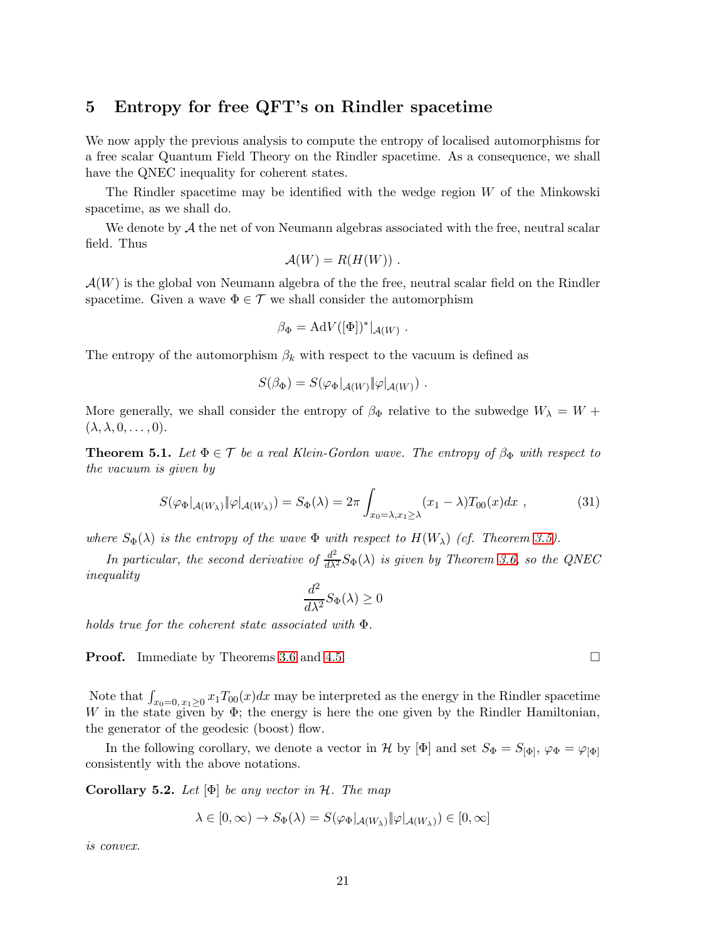# 5 Entropy for free QFT's on Rindler spacetime

We now apply the previous analysis to compute the entropy of localised automorphisms for a free scalar Quantum Field Theory on the Rindler spacetime. As a consequence, we shall have the QNEC inequality for coherent states.

The Rindler spacetime may be identified with the wedge region W of the Minkowski spacetime, as we shall do.

We denote by  $A$  the net of von Neumann algebras associated with the free, neutral scalar field. Thus

$$
\mathcal{A}(W)=R(H(W))\ .
$$

 $\mathcal{A}(W)$  is the global von Neumann algebra of the the free, neutral scalar field on the Rindler spacetime. Given a wave  $\Phi \in \mathcal{T}$  we shall consider the automorphism

$$
\beta_\Phi = \mathrm{Ad} V([\Phi])^*|_{\mathcal{A}(W)} .
$$

The entropy of the automorphism  $\beta_k$  with respect to the vacuum is defined as

$$
S(\beta_{\Phi})=S(\varphi_{\Phi}|_{\mathcal{A}(W)}\|\varphi|_{\mathcal{A}(W)})\ .
$$

More generally, we shall consider the entropy of  $\beta_{\Phi}$  relative to the subwedge  $W_{\lambda} = W +$  $(\lambda, \lambda, 0, \ldots, 0).$ 

<span id="page-20-0"></span>**Theorem 5.1.** Let  $\Phi \in \mathcal{T}$  be a real Klein-Gordon wave. The entropy of  $\beta_{\Phi}$  with respect to the vacuum is given by

$$
S(\varphi_{\Phi}|_{\mathcal{A}(W_{\lambda})} \|\varphi|_{\mathcal{A}(W_{\lambda})}) = S_{\Phi}(\lambda) = 2\pi \int_{x_0 = \lambda, x_1 \ge \lambda} (x_1 - \lambda) T_{00}(x) dx , \qquad (31)
$$

where  $S_{\Phi}(\lambda)$  is the entropy of the wave  $\Phi$  with respect to  $H(W_{\lambda})$  (cf. Theorem [3.5\)](#page-13-3).

In particular, the second derivative of  $\frac{d^2}{d\lambda^2}S_{\Phi}(\lambda)$  is given by Theorem [3.6,](#page-14-2) so the QNEC inequality

$$
\frac{d^2}{d\lambda^2}S_{\Phi}(\lambda) \ge 0
$$

holds true for the coherent state associated with Φ.

**Proof.** Immediate by Theorems [3.6](#page-14-2) and [4.5.](#page-19-2)

Note that  $\int_{x_0=0, x_1 \geq 0} x_1 T_{00}(x) dx$  may be interpreted as the energy in the Rindler spacetime W in the state given by  $\Phi$ ; the energy is here the one given by the Rindler Hamiltonian, the generator of the geodesic (boost) flow.

In the following corollary, we denote a vector in H by  $[\Phi]$  and set  $S_{\Phi} = S_{[\Phi]}, \varphi_{\Phi} = \varphi_{[\Phi]}$ consistently with the above notations.

Corollary 5.2. Let  $[\Phi]$  be any vector in H. The map

$$
\lambda \in [0, \infty) \to S_{\Phi}(\lambda) = S(\varphi_{\Phi}|_{\mathcal{A}(W_{\lambda})} || \varphi |_{\mathcal{A}(W_{\lambda})}) \in [0, \infty]
$$

is convex.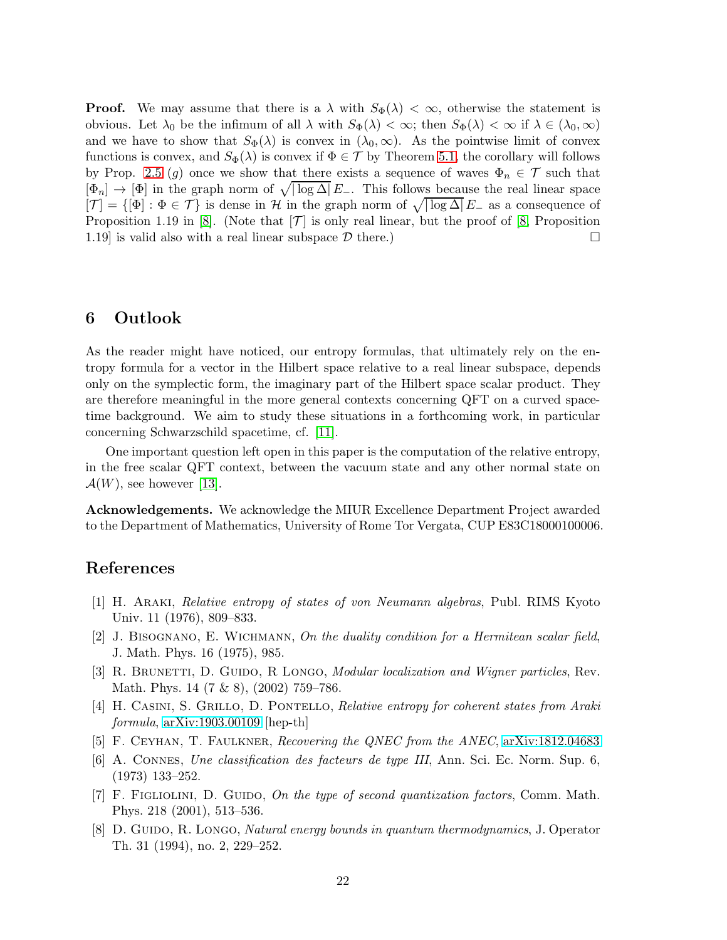**Proof.** We may assume that there is a  $\lambda$  with  $S_{\Phi}(\lambda) < \infty$ , otherwise the statement is obvious. Let  $\lambda_0$  be the infimum of all  $\lambda$  with  $S_{\Phi}(\lambda) < \infty$ ; then  $S_{\Phi}(\lambda) < \infty$  if  $\lambda \in (\lambda_0, \infty)$ and we have to show that  $S_{\Phi}(\lambda)$  is convex in  $(\lambda_0,\infty)$ . As the pointwise limit of convex functions is convex, and  $S_{\Phi}(\lambda)$  is convex if  $\Phi \in \mathcal{T}$  by Theorem [5.1,](#page-20-0) the corollary will follows by Prop. [2.5](#page-8-2) (g) once we show that there exists a sequence of waves  $\Phi_n \in \mathcal{T}$  such that  $[\Phi_n] \to [\Phi]$  in the graph norm of  $\sqrt{|\log \Delta|} E_-\$ . This follows because the real linear space  $[\mathcal{T}] = \{[\Phi] : \Phi \in \mathcal{T}\}\$ is dense in H in the graph norm of  $\sqrt{|\log \Delta|} E_-\$ as a consequence of Proposition 1.19 in [\[8\]](#page-21-6). (Note that  $[\mathcal{T}]$  is only real linear, but the proof of [\[8,](#page-21-6) Proposition 1.19] is valid also with a real linear subspace  $\mathcal{D}$  there.) 1.19 is valid also with a real linear subspace  $\mathcal D$  there.)

# 6 Outlook

As the reader might have noticed, our entropy formulas, that ultimately rely on the entropy formula for a vector in the Hilbert space relative to a real linear subspace, depends only on the symplectic form, the imaginary part of the Hilbert space scalar product. They are therefore meaningful in the more general contexts concerning QFT on a curved spacetime background. We aim to study these situations in a forthcoming work, in particular concerning Schwarzschild spacetime, cf. [\[11\]](#page-22-11).

One important question left open in this paper is the computation of the relative entropy, in the free scalar QFT context, between the vacuum state and any other normal state on  $\mathcal{A}(W)$ , see however [\[13\]](#page-22-5).

Acknowledgements. We acknowledge the MIUR Excellence Department Project awarded to the Department of Mathematics, University of Rome Tor Vergata, CUP E83C18000100006.

# <span id="page-21-1"></span>References

- <span id="page-21-3"></span>[1] H. Araki, Relative entropy of states of von Neumann algebras, Publ. RIMS Kyoto Univ. 11 (1976), 809–833.
- <span id="page-21-4"></span>[2] J. Bisognano, E. Wichmann, On the duality condition for a Hermitean scalar field, J. Math. Phys. 16 (1975), 985.
- <span id="page-21-2"></span>[3] R. BRUNETTI, D. GUIDO, R LONGO, *Modular localization and Wigner particles*, Rev. Math. Phys. 14 (7 & 8), (2002) 759–786.
- <span id="page-21-0"></span>[4] H. CASINI, S. GRILLO, D. PONTELLO, Relative entropy for coherent states from Araki formula, [arXiv:1903.00109](http://arxiv.org/abs/1903.00109) [hep-th]
- [5] F. Ceyhan, T. Faulkner, Recovering the QNEC from the ANEC, [arXiv:1812.04683](http://arxiv.org/abs/1812.04683)
- <span id="page-21-5"></span>[6] A. Connes, Une classification des facteurs de type III, Ann. Sci. Ec. Norm. Sup. 6, (1973) 133–252.
- <span id="page-21-6"></span>[7] F. FIGLIOLINI, D. GUIDO, On the type of second quantization factors, Comm. Math. Phys. 218 (2001), 513–536.
- [8] D. GUIDO, R. LONGO, *Natural energy bounds in quantum thermodynamics*, J. Operator Th. 31 (1994), no. 2, 229–252.